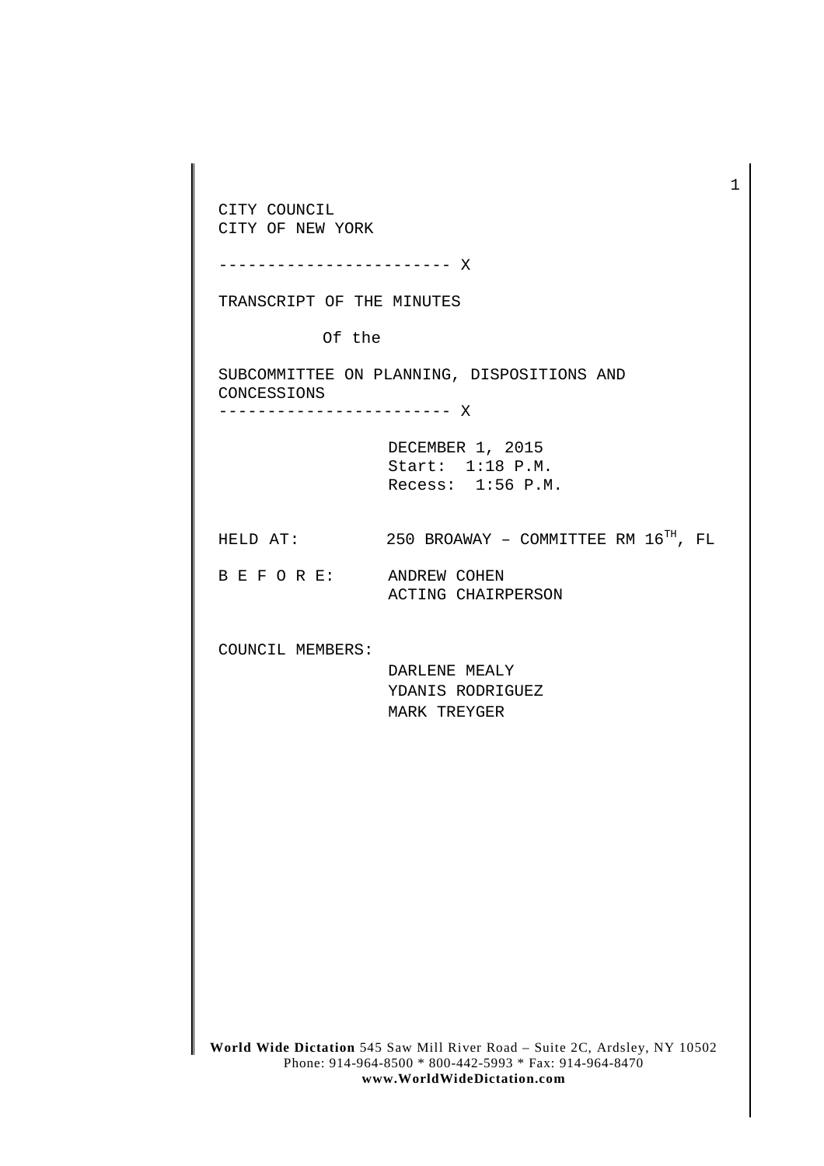**World Wide Dictation** 545 Saw Mill River Road – Suite 2C, Ardsley, NY 10502 Phone: 914-964-8500 \* 800-442-5993 \* Fax: 914-964-8470 CITY COUNCIL CITY OF NEW YORK ------------------------ X TRANSCRIPT OF THE MINUTES Of the SUBCOMMITTEE ON PLANNING, DISPOSITIONS AND CONCESSIONS ------------------------ X DECEMBER 1, 2015 Start: 1:18 P.M. Recess: 1:56 P.M. HELD AT:  $250$  BROAWAY - COMMITTEE RM  $16^{TH}$ , FL B E F O R E: ANDREW COHEN ACTING CHAIRPERSON COUNCIL MEMBERS: DARLENE MEALY YDANIS RODRIGUEZ MARK TREYGER

**www.WorldWideDictation.com**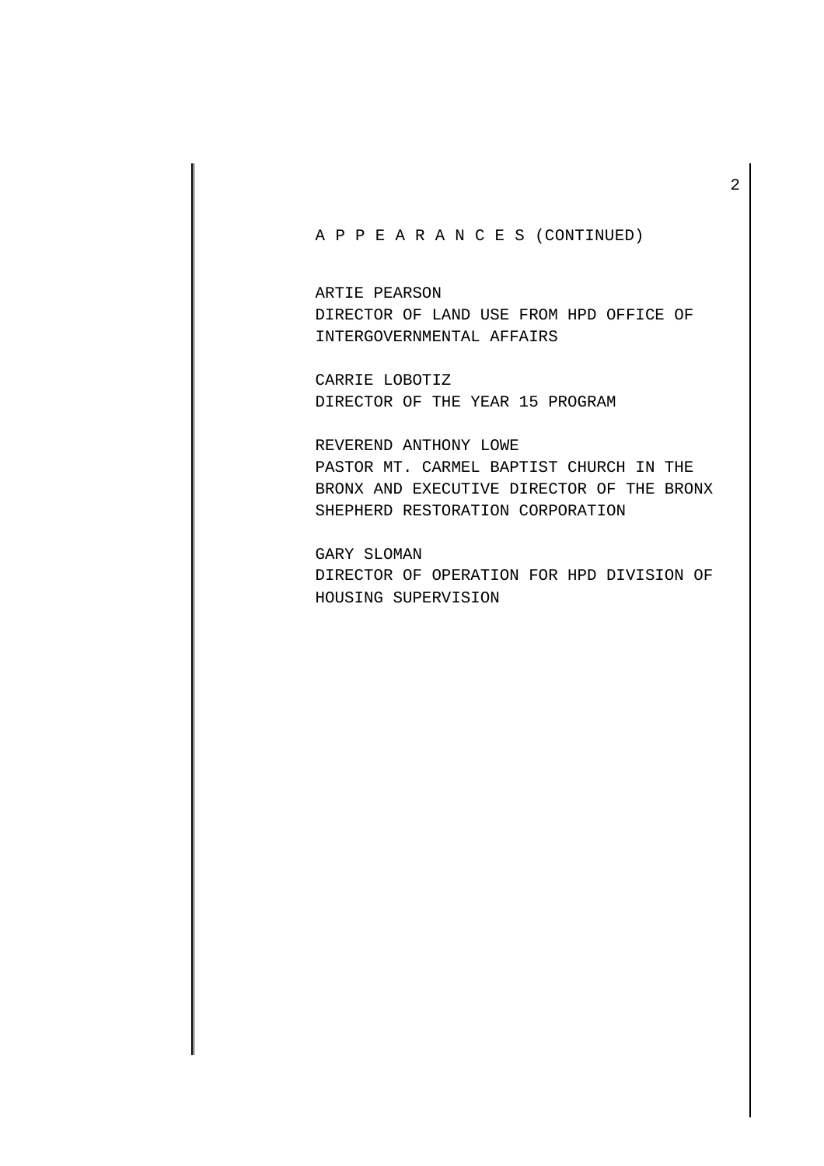## A P P E A R A N C E S (CONTINUED)

ARTIE PEARSON DIRECTOR OF LAND USE FROM HPD OFFICE OF INTERGOVERNMENTAL AFFAIRS

CARRIE LOBOTIZ DIRECTOR OF THE YEAR 15 PROGRAM

REVEREND ANTHONY LOWE PASTOR MT. CARMEL BAPTIST CHURCH IN THE BRONX AND EXECUTIVE DIRECTOR OF THE BRONX SHEPHERD RESTORATION CORPORATION

GARY SLOMAN DIRECTOR OF OPERATION FOR HPD DIVISION OF HOUSING SUPERVISION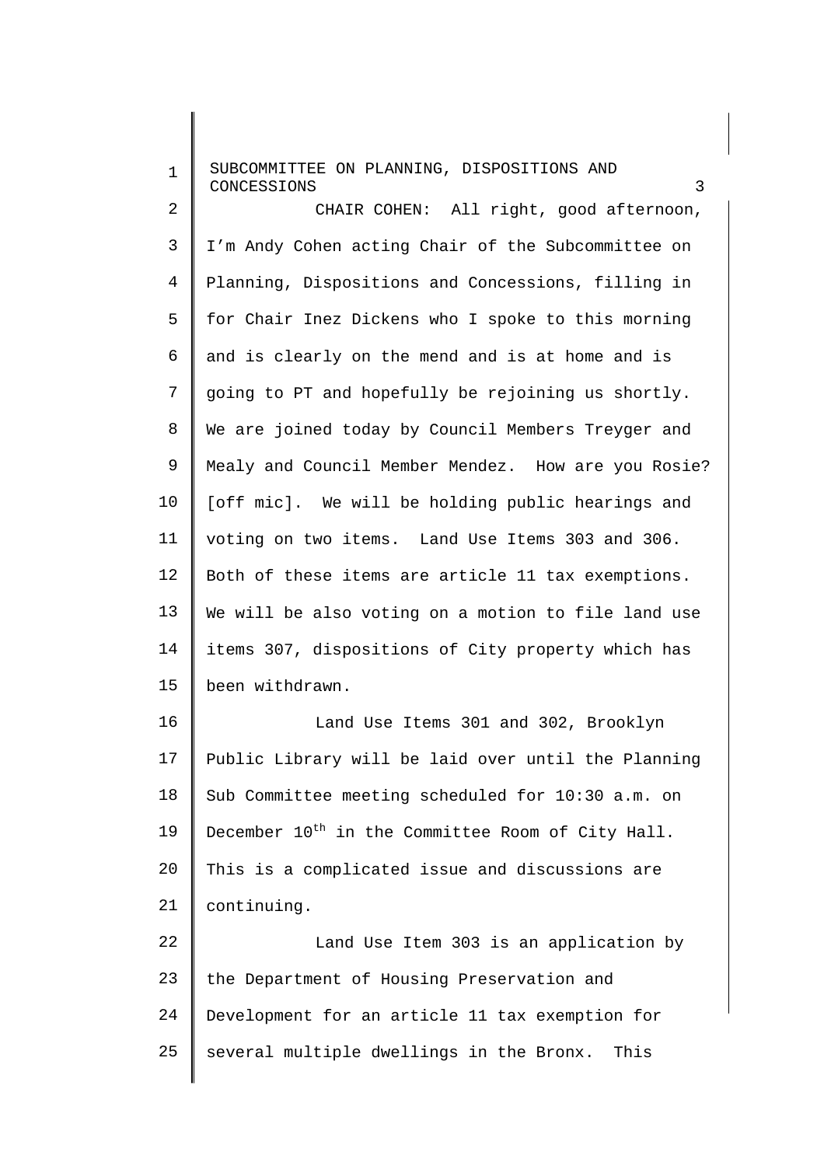1 2 3 4 5 6 7 8 9 10 11 12 13 14 15 16 17 18 19 20 21 22 23 24 SUBCOMMITTEE ON PLANNING, DISPOSITIONS AND **CONCESSIONS** CHAIR COHEN: All right, good afternoon, I'm Andy Cohen acting Chair of the Subcommittee on Planning, Dispositions and Concessions, filling in for Chair Inez Dickens who I spoke to this morning and is clearly on the mend and is at home and is going to PT and hopefully be rejoining us shortly. We are joined today by Council Members Treyger and Mealy and Council Member Mendez. How are you Rosie? [off mic]. We will be holding public hearings and voting on two items. Land Use Items 303 and 306. Both of these items are article 11 tax exemptions. We will be also voting on a motion to file land use items 307, dispositions of City property which has been withdrawn. Land Use Items 301 and 302, Brooklyn Public Library will be laid over until the Planning Sub Committee meeting scheduled for 10:30 a.m. on December  $10^{th}$  in the Committee Room of City Hall. This is a complicated issue and discussions are continuing. Land Use Item 303 is an application by the Department of Housing Preservation and Development for an article 11 tax exemption for

several multiple dwellings in the Bronx. This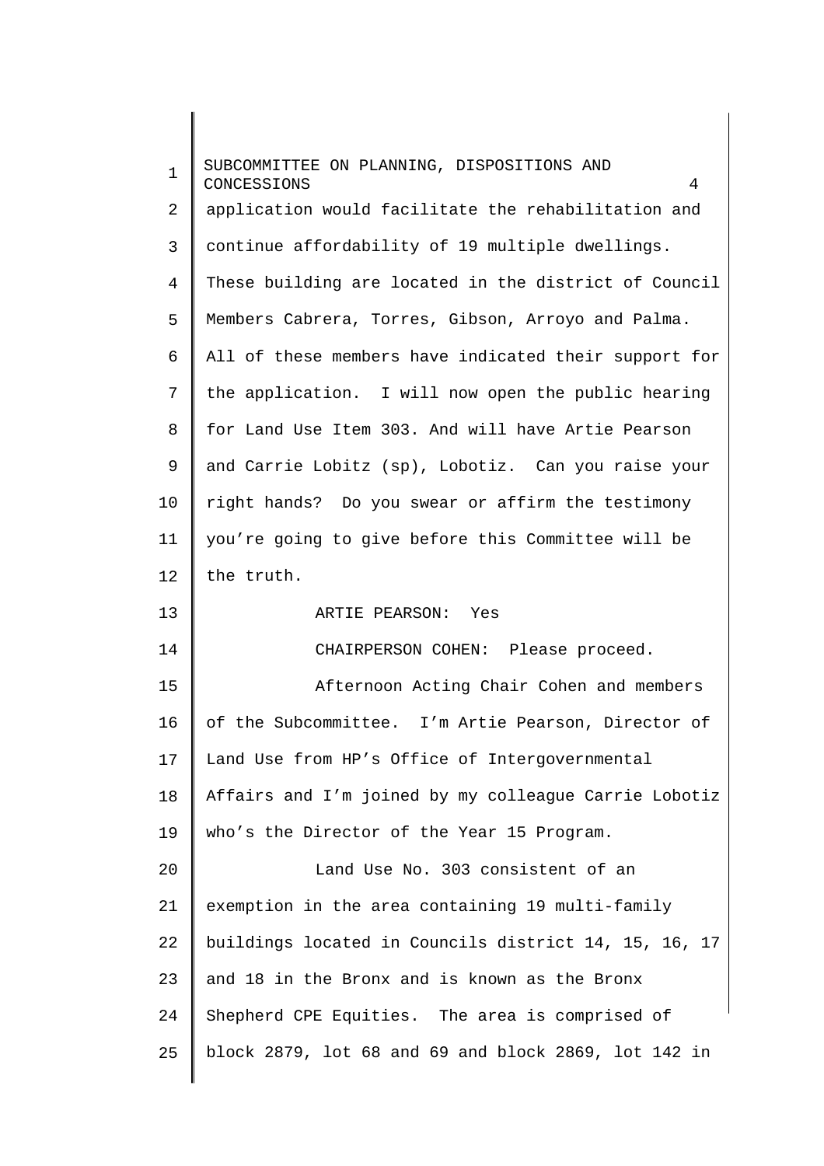| $\mathbf 1$                                  | SUBCOMMITTEE ON PLANNING, DISPOSITIONS AND<br>CONCESSIONS<br>4 |
|----------------------------------------------|----------------------------------------------------------------|
| $\overline{a}$                               | application would facilitate the rehabilitation and            |
| 3                                            | continue affordability of 19 multiple dwellings.               |
| $\overline{4}$                               | These building are located in the district of Council          |
| 5                                            | Members Cabrera, Torres, Gibson, Arroyo and Palma.             |
| 6                                            | All of these members have indicated their support for          |
| 7                                            | the application. I will now open the public hearing            |
| 8                                            | for Land Use Item 303. And will have Artie Pearson             |
| 9                                            | and Carrie Lobitz (sp), Lobotiz. Can you raise your            |
| 10                                           | right hands? Do you swear or affirm the testimony              |
| 11                                           | you're going to give before this Committee will be             |
| 12                                           | the truth.                                                     |
|                                              |                                                                |
| 13                                           | ARTIE PEARSON: Yes                                             |
| 14                                           | CHAIRPERSON COHEN: Please proceed.                             |
| 15                                           | Afternoon Acting Chair Cohen and members                       |
|                                              | of the Subcommittee. I'm Artie Pearson, Director of            |
|                                              | Land Use from HP's Office of Intergovernmental                 |
|                                              | Affairs and I'm joined by my colleague Carrie Lobotiz          |
|                                              | who's the Director of the Year 15 Program.                     |
|                                              | Land Use No. 303 consistent of an                              |
|                                              | exemption in the area containing 19 multi-family               |
|                                              | buildings located in Councils district 14, 15, 16, 17          |
| 16<br>17<br>18<br>19<br>20<br>21<br>22<br>23 | and 18 in the Bronx and is known as the Bronx                  |
| 24                                           | Shepherd CPE Equities. The area is comprised of                |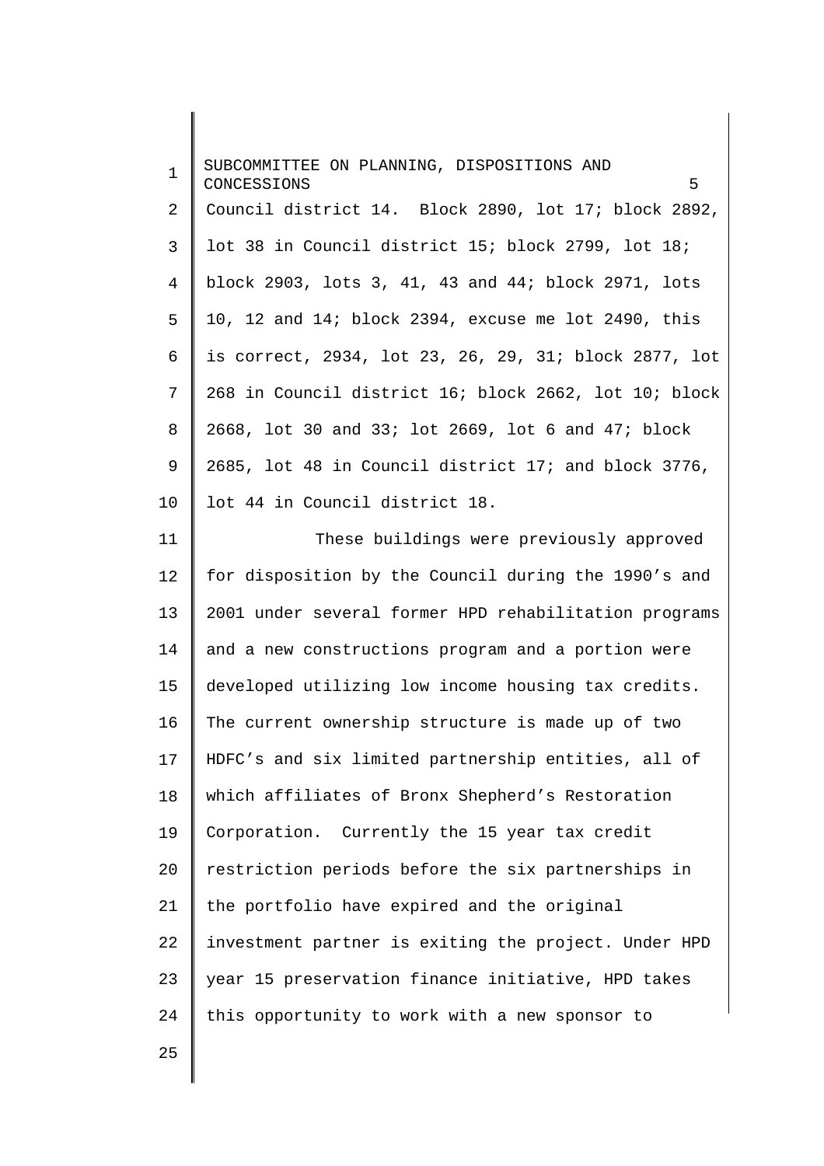| $\mathbf{1}$   | SUBCOMMITTEE ON PLANNING, DISPOSITIONS AND<br>5<br>CONCESSIONS |
|----------------|----------------------------------------------------------------|
| $\overline{2}$ | Council district 14. Block 2890, lot 17; block 2892,           |
| 3              | lot 38 in Council district 15; block 2799, lot 18;             |
| 4              | block 2903, lots 3, 41, 43 and 44; block 2971, lots            |
| 5              | 10, 12 and 14; block 2394, excuse me lot 2490, this            |
| 6              | is correct, 2934, lot 23, 26, 29, 31; block 2877, lot          |
| 7              | 268 in Council district 16; block 2662, lot 10; block          |
| 8              | 2668, lot 30 and 33; lot 2669, lot 6 and 47; block             |
| 9              | 2685, lot 48 in Council district 17; and block 3776,           |
| $10 \,$        | lot 44 in Council district 18.                                 |
| 11             | These buildings were previously approved                       |
| 12             | for disposition by the Council during the 1990's and           |
| 13             | 2001 under several former HPD rehabilitation programs          |
| 14             | and a new constructions program and a portion were             |
| 15             | developed utilizing low income housing tax credits.            |
| 16             | The current ownership structure is made up of two              |
| 17             | HDFC's and six limited partnership entities, all of            |
| 18             | which affiliates of Bronx Shepherd's Restoration               |
| 19             | Corporation. Currently the 15 year tax credit                  |
| 20             | restriction periods before the six partnerships in             |
| 21             | the portfolio have expired and the original                    |
| 22             | investment partner is exiting the project. Under HPD           |
| 23             | year 15 preservation finance initiative, HPD takes             |
| 24             | this opportunity to work with a new sponsor to                 |
| 25             |                                                                |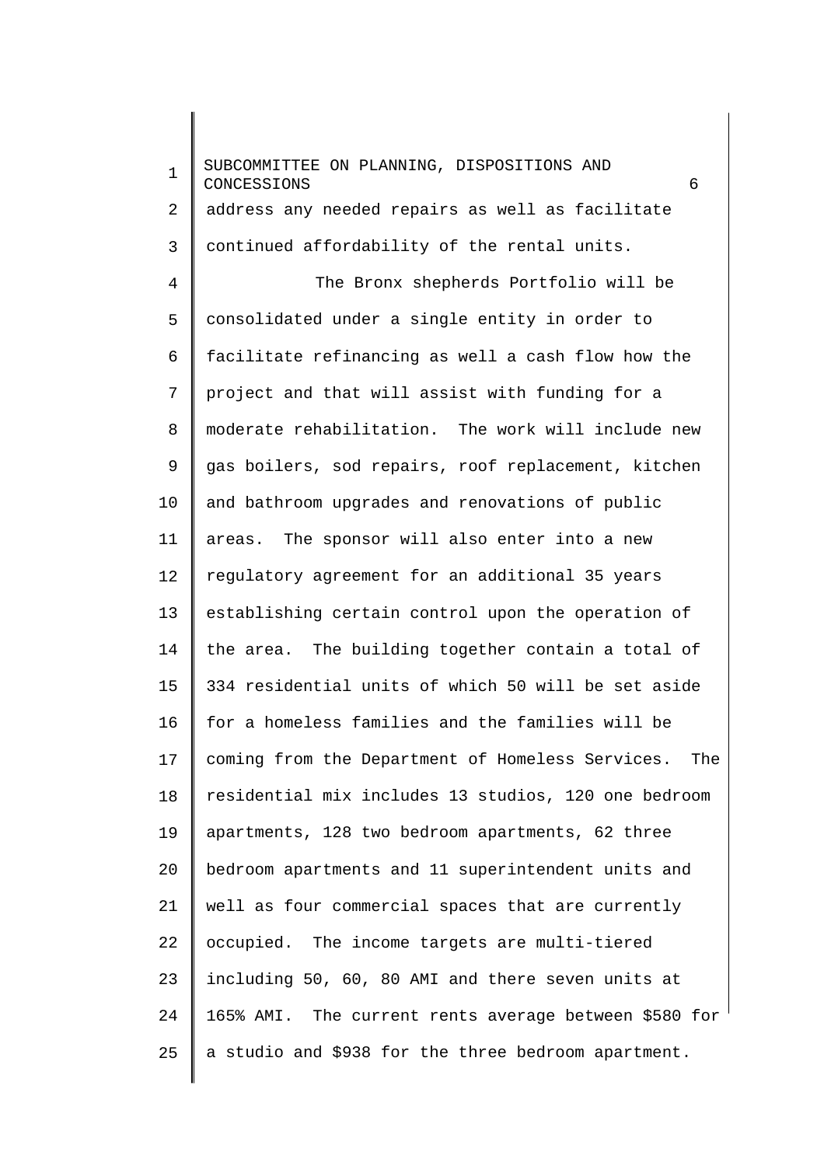1 2 3 4 5 6 7 8 9 10 11 12 13 14 15 16 17 18 19 20 21 22 23 24 25 SUBCOMMITTEE ON PLANNING, DISPOSITIONS AND CONCESSIONS 6 address any needed repairs as well as facilitate continued affordability of the rental units. The Bronx shepherds Portfolio will be consolidated under a single entity in order to facilitate refinancing as well a cash flow how the project and that will assist with funding for a moderate rehabilitation. The work will include new gas boilers, sod repairs, roof replacement, kitchen and bathroom upgrades and renovations of public areas. The sponsor will also enter into a new regulatory agreement for an additional 35 years establishing certain control upon the operation of the area. The building together contain a total of 334 residential units of which 50 will be set aside for a homeless families and the families will be coming from the Department of Homeless Services. The residential mix includes 13 studios, 120 one bedroom apartments, 128 two bedroom apartments, 62 three bedroom apartments and 11 superintendent units and well as four commercial spaces that are currently occupied. The income targets are multi-tiered including 50, 60, 80 AMI and there seven units at 165% AMI. The current rents average between \$580 for a studio and \$938 for the three bedroom apartment.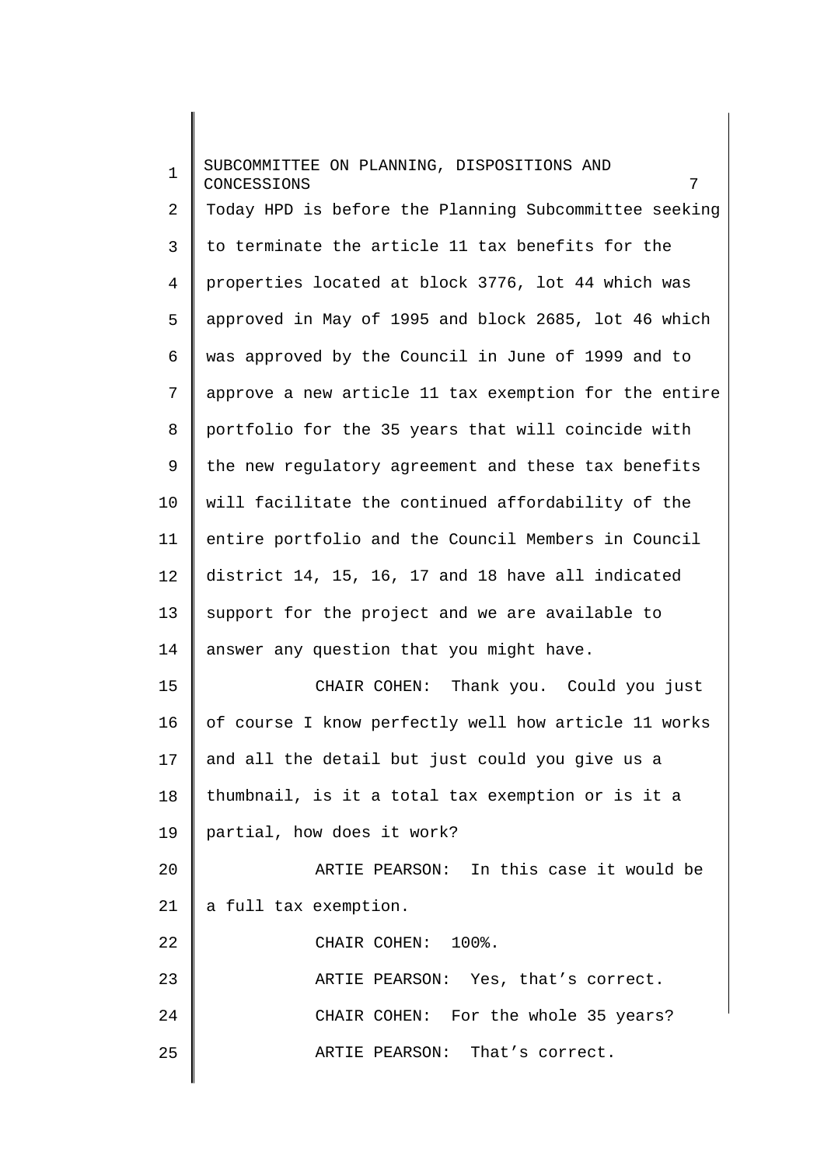1 2 3 4 5 6 7 8 9 10 11 12 13 14 15 16 17 18 19 20 21 22 23 24 25 SUBCOMMITTEE ON PLANNING, DISPOSITIONS AND CONCESSIONS 7 Today HPD is before the Planning Subcommittee seeking to terminate the article 11 tax benefits for the properties located at block 3776, lot 44 which was approved in May of 1995 and block 2685, lot 46 which was approved by the Council in June of 1999 and to approve a new article 11 tax exemption for the entire portfolio for the 35 years that will coincide with the new regulatory agreement and these tax benefits will facilitate the continued affordability of the entire portfolio and the Council Members in Council district 14, 15, 16, 17 and 18 have all indicated support for the project and we are available to answer any question that you might have. CHAIR COHEN: Thank you. Could you just of course I know perfectly well how article 11 works and all the detail but just could you give us a thumbnail, is it a total tax exemption or is it a partial, how does it work? ARTIE PEARSON: In this case it would be a full tax exemption. CHAIR COHEN: 100%. ARTIE PEARSON: Yes, that's correct. CHAIR COHEN: For the whole 35 years? ARTIE PEARSON: That's correct.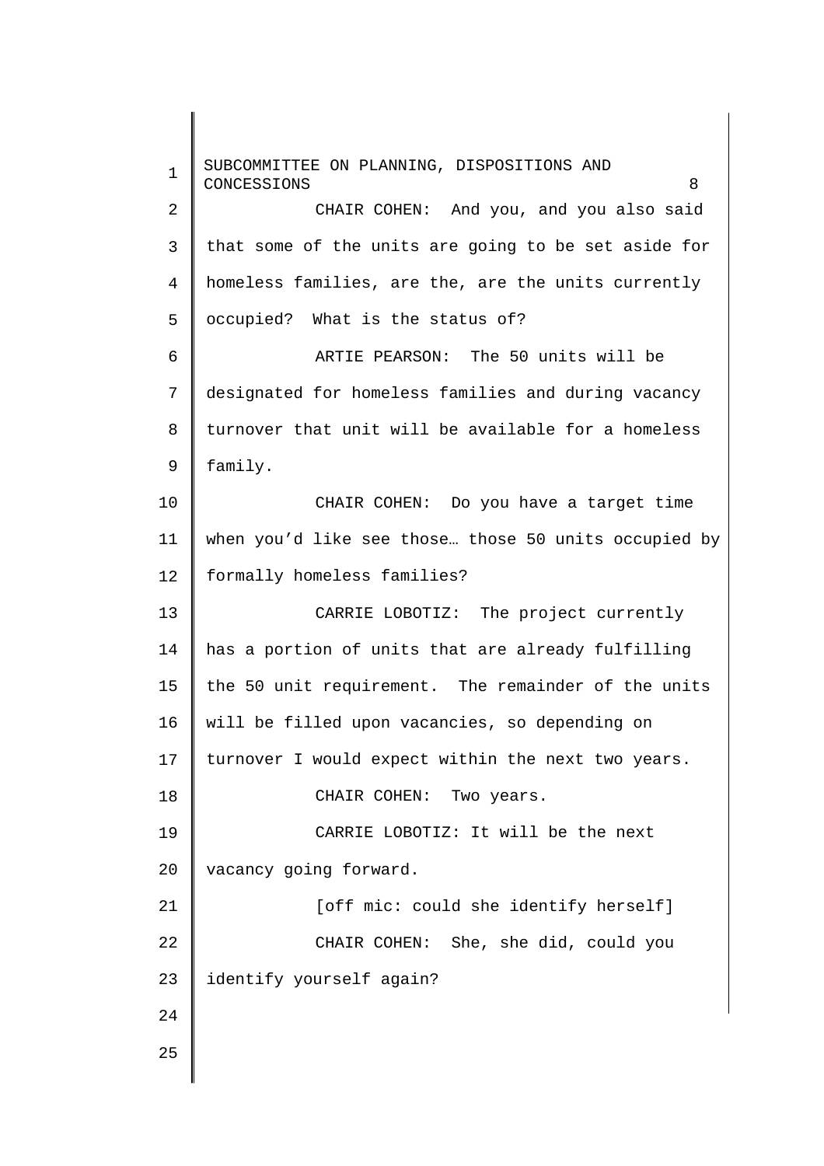1 2 3 4 5 6 7 8 9 10 11 12 13 14 15 16 17 18 19 20 21 22 23 24 25 SUBCOMMITTEE ON PLANNING, DISPOSITIONS AND CONCESSIONS 8 CHAIR COHEN: And you, and you also said that some of the units are going to be set aside for homeless families, are the, are the units currently occupied? What is the status of? ARTIE PEARSON: The 50 units will be designated for homeless families and during vacancy turnover that unit will be available for a homeless family. CHAIR COHEN: Do you have a target time when you'd like see those… those 50 units occupied by formally homeless families? CARRIE LOBOTIZ: The project currently has a portion of units that are already fulfilling the 50 unit requirement. The remainder of the units will be filled upon vacancies, so depending on turnover I would expect within the next two years. CHAIR COHEN: Two years. CARRIE LOBOTIZ: It will be the next vacancy going forward. [off mic: could she identify herself] CHAIR COHEN: She, she did, could you identify yourself again?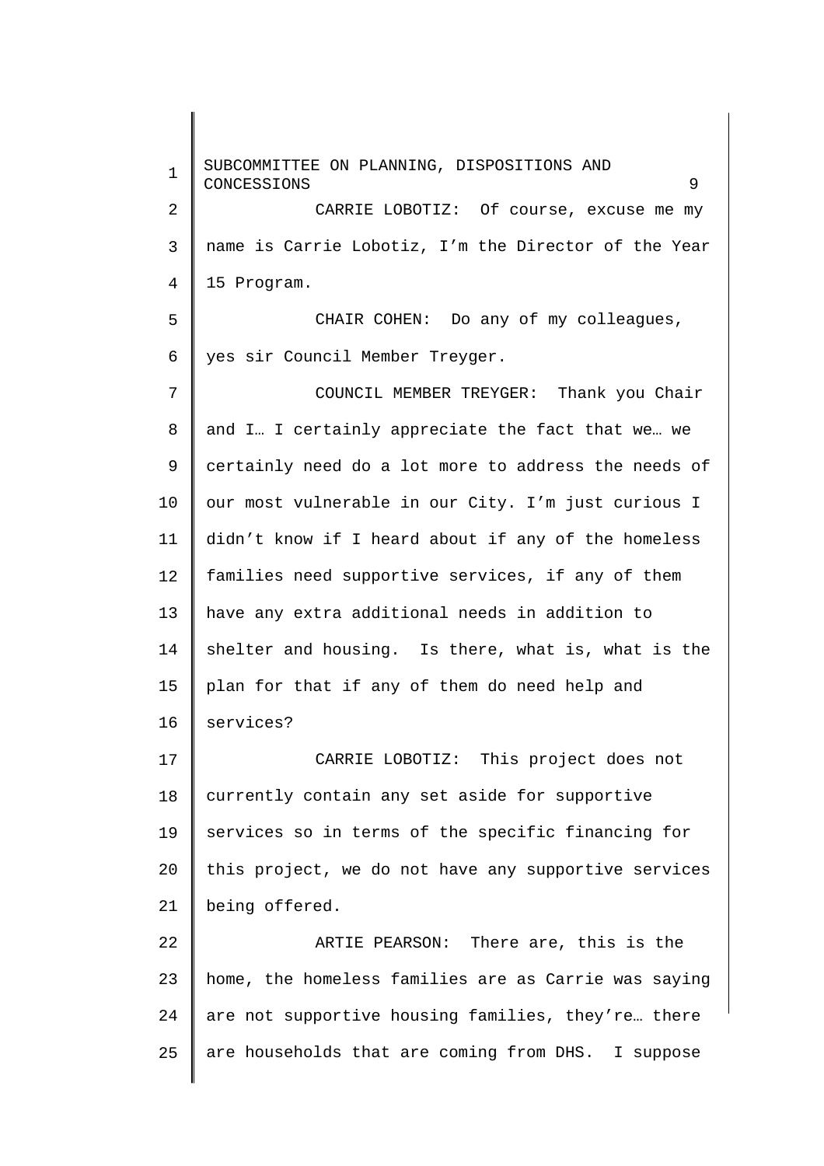1 2 3 4 5 6 7 8 9 10 11 12 13 14 15 16 17 18 19 20 21 22 23 24 25 SUBCOMMITTEE ON PLANNING, DISPOSITIONS AND CONCESSIONS 9 CARRIE LOBOTIZ: Of course, excuse me my name is Carrie Lobotiz, I'm the Director of the Year 15 Program. CHAIR COHEN: Do any of my colleagues, yes sir Council Member Treyger. COUNCIL MEMBER TREYGER: Thank you Chair and I… I certainly appreciate the fact that we… we certainly need do a lot more to address the needs of our most vulnerable in our City. I'm just curious I didn't know if I heard about if any of the homeless families need supportive services, if any of them have any extra additional needs in addition to shelter and housing. Is there, what is, what is the plan for that if any of them do need help and services? CARRIE LOBOTIZ: This project does not currently contain any set aside for supportive services so in terms of the specific financing for this project, we do not have any supportive services being offered. ARTIE PEARSON: There are, this is the home, the homeless families are as Carrie was saying are not supportive housing families, they're… there are households that are coming from DHS. I suppose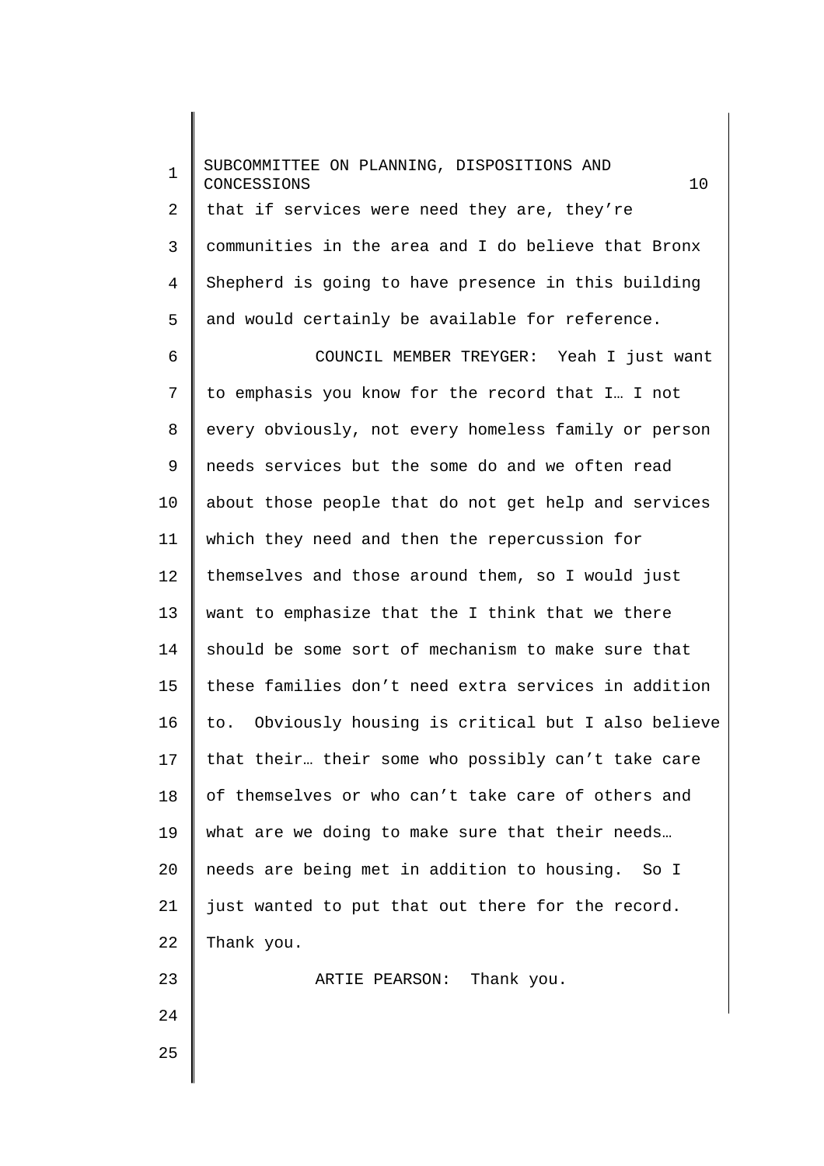1 2 3 4 5 6 7 8 9 10 11 12 13 14 15 16 17 18 19 20 21 22 23 24 25 SUBCOMMITTEE ON PLANNING, DISPOSITIONS AND CONCESSIONS 10 that if services were need they are, they're communities in the area and I do believe that Bronx Shepherd is going to have presence in this building and would certainly be available for reference. COUNCIL MEMBER TREYGER: Yeah I just want to emphasis you know for the record that I… I not every obviously, not every homeless family or person needs services but the some do and we often read about those people that do not get help and services which they need and then the repercussion for themselves and those around them, so I would just want to emphasize that the I think that we there should be some sort of mechanism to make sure that these families don't need extra services in addition to. Obviously housing is critical but I also believe that their… their some who possibly can't take care of themselves or who can't take care of others and what are we doing to make sure that their needs… needs are being met in addition to housing. So I just wanted to put that out there for the record. Thank you. ARTIE PEARSON: Thank you.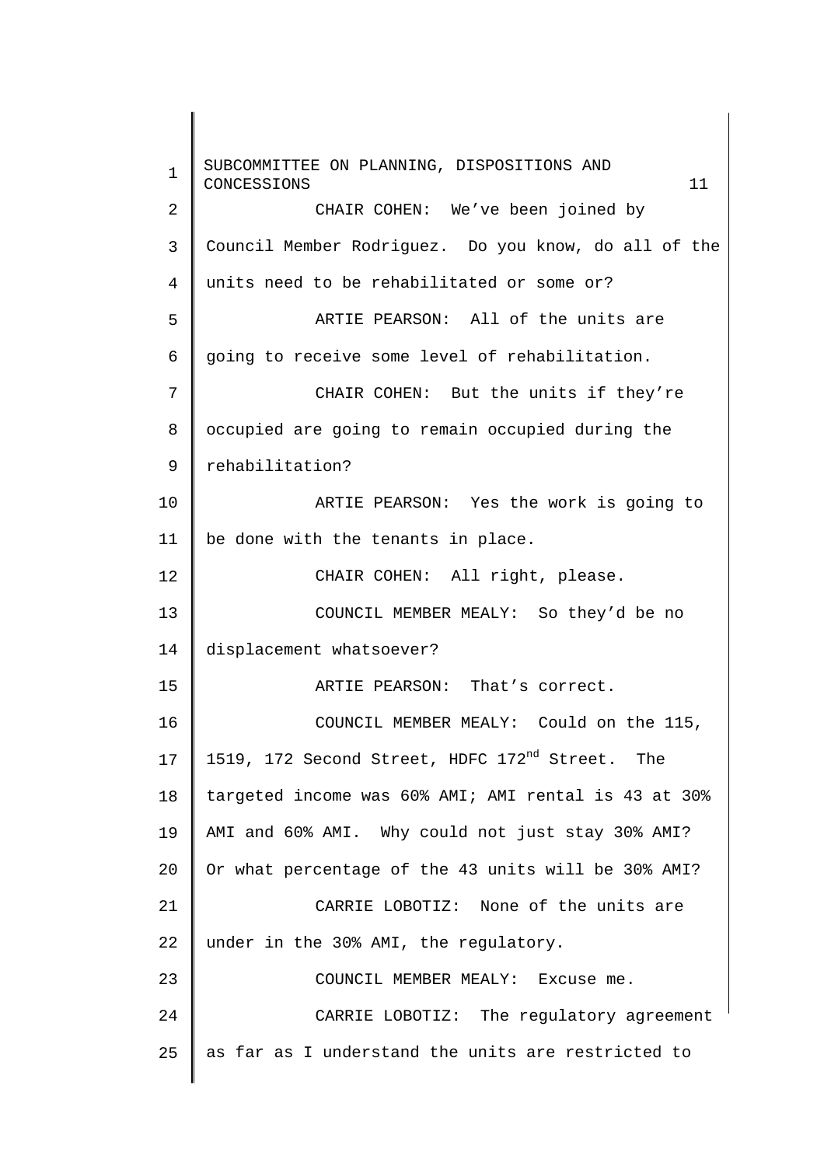1 2 3 4 5 6 7 8 9 10 11 12 13 14 15 16 17 18 19 20 21 22 23 24 25 SUBCOMMITTEE ON PLANNING, DISPOSITIONS AND CONCESSIONS 11 CHAIR COHEN: We've been joined by Council Member Rodriguez. Do you know, do all of the units need to be rehabilitated or some or? ARTIE PEARSON: All of the units are going to receive some level of rehabilitation. CHAIR COHEN: But the units if they're occupied are going to remain occupied during the rehabilitation? ARTIE PEARSON: Yes the work is going to be done with the tenants in place. CHAIR COHEN: All right, please. COUNCIL MEMBER MEALY: So they'd be no displacement whatsoever? ARTIE PEARSON: That's correct. COUNCIL MEMBER MEALY: Could on the 115, 1519, 172 Second Street, HDFC 172<sup>nd</sup> Street. The targeted income was 60% AMI; AMI rental is 43 at 30% AMI and 60% AMI. Why could not just stay 30% AMI? Or what percentage of the 43 units will be 30% AMI? CARRIE LOBOTIZ: None of the units are under in the 30% AMI, the regulatory. COUNCIL MEMBER MEALY: Excuse me. CARRIE LOBOTIZ: The regulatory agreement as far as I understand the units are restricted to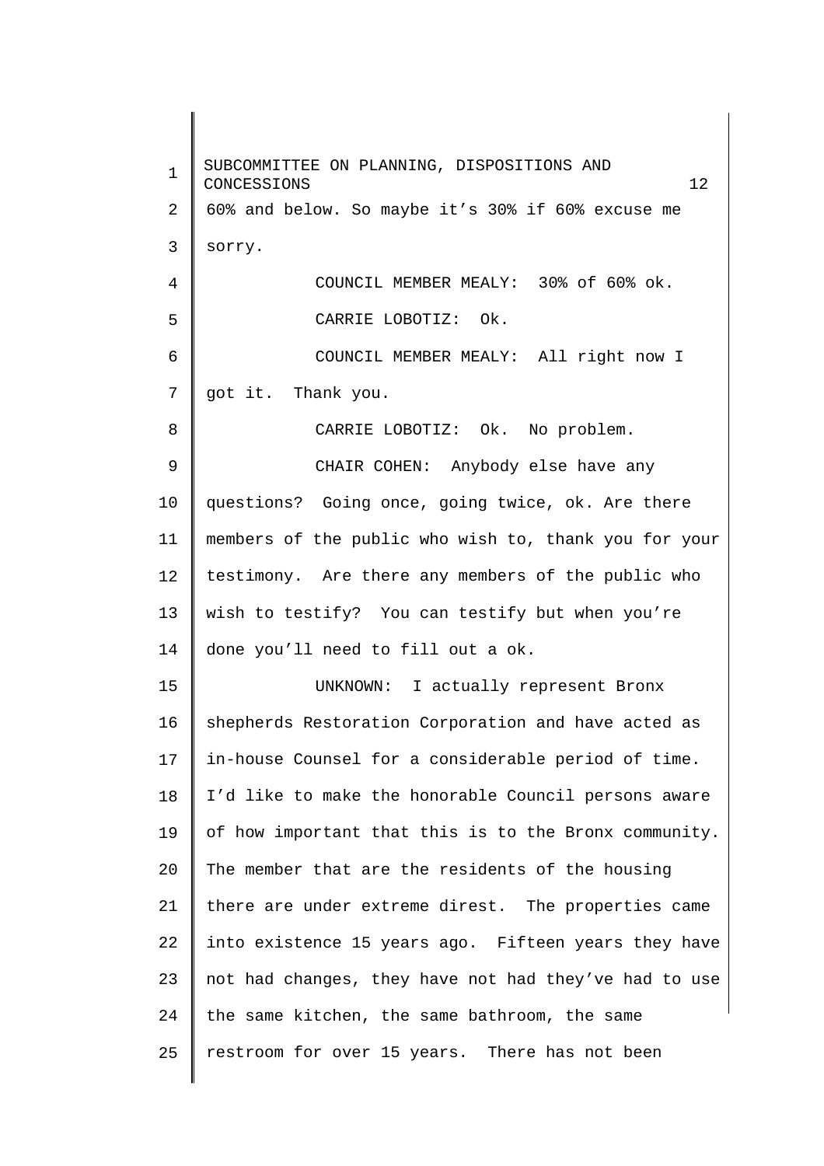1 2 3 4 5 6 7 8 9 10 11 12 13 14 15 16 17 18 19 20 21 22 23 24 25 SUBCOMMITTEE ON PLANNING, DISPOSITIONS AND CONCESSIONS 12 60% and below. So maybe it's 30% if 60% excuse me sorry. COUNCIL MEMBER MEALY: 30% of 60% ok. CARRIE LOBOTIZ: Ok. COUNCIL MEMBER MEALY: All right now I got it. Thank you. CARRIE LOBOTIZ: Ok. No problem. CHAIR COHEN: Anybody else have any questions? Going once, going twice, ok. Are there members of the public who wish to, thank you for your testimony. Are there any members of the public who wish to testify? You can testify but when you're done you'll need to fill out a ok. UNKNOWN: I actually represent Bronx shepherds Restoration Corporation and have acted as in-house Counsel for a considerable period of time. I'd like to make the honorable Council persons aware of how important that this is to the Bronx community. The member that are the residents of the housing there are under extreme direst. The properties came into existence 15 years ago. Fifteen years they have not had changes, they have not had they've had to use the same kitchen, the same bathroom, the same restroom for over 15 years. There has not been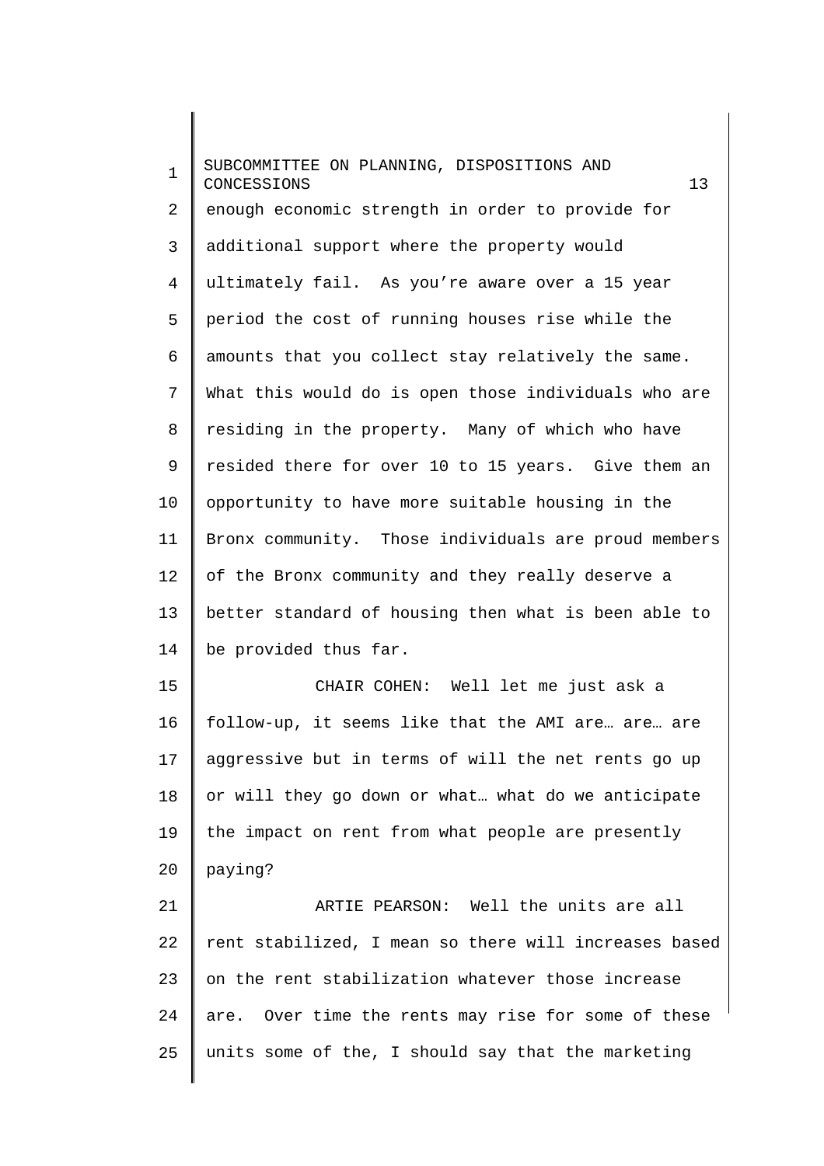1 2 3 4 5 6 7 8 9 10 11 12 13 14 15 16 17 18 19 20 21 SUBCOMMITTEE ON PLANNING, DISPOSITIONS AND CONCESSIONS 13 enough economic strength in order to provide for additional support where the property would ultimately fail. As you're aware over a 15 year period the cost of running houses rise while the amounts that you collect stay relatively the same. What this would do is open those individuals who are residing in the property. Many of which who have resided there for over 10 to 15 years. Give them an opportunity to have more suitable housing in the Bronx community. Those individuals are proud members of the Bronx community and they really deserve a better standard of housing then what is been able to be provided thus far. CHAIR COHEN: Well let me just ask a follow-up, it seems like that the AMI are… are… are aggressive but in terms of will the net rents go up or will they go down or what… what do we anticipate the impact on rent from what people are presently paying? ARTIE PEARSON: Well the units are all

22 23 24 25 rent stabilized, I mean so there will increases based on the rent stabilization whatever those increase are. Over time the rents may rise for some of these units some of the, I should say that the marketing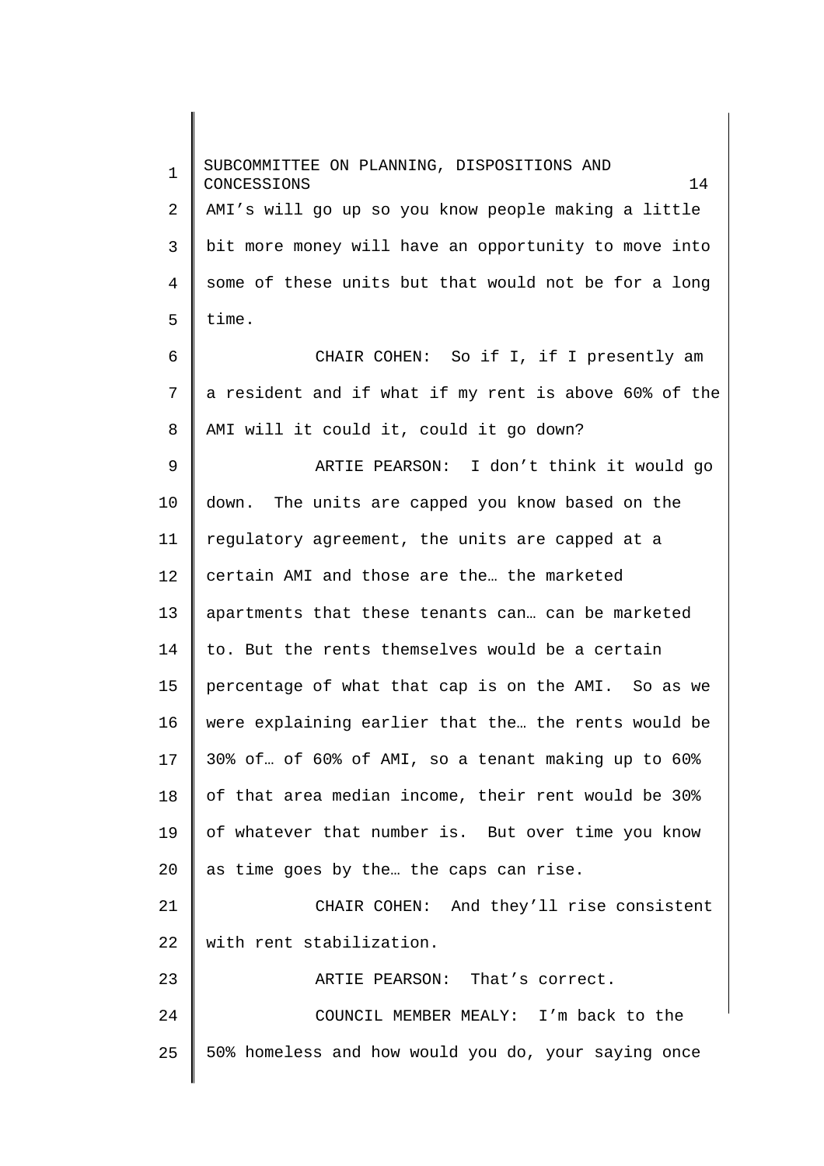1 2 3 4 5 6 7 8 9 10 11 12 13 14 15 16 17 18 19 20 21 22 23 24 25 SUBCOMMITTEE ON PLANNING, DISPOSITIONS AND CONCESSIONS 14 AMI's will go up so you know people making a little bit more money will have an opportunity to move into some of these units but that would not be for a long time. CHAIR COHEN: So if I, if I presently am a resident and if what if my rent is above 60% of the AMI will it could it, could it go down? ARTIE PEARSON: I don't think it would go down. The units are capped you know based on the regulatory agreement, the units are capped at a certain AMI and those are the… the marketed apartments that these tenants can… can be marketed to. But the rents themselves would be a certain percentage of what that cap is on the AMI. So as we were explaining earlier that the… the rents would be 30% of… of 60% of AMI, so a tenant making up to 60% of that area median income, their rent would be 30% of whatever that number is. But over time you know as time goes by the… the caps can rise. CHAIR COHEN: And they'll rise consistent with rent stabilization. ARTIE PEARSON: That's correct. COUNCIL MEMBER MEALY: I'm back to the 50% homeless and how would you do, your saying once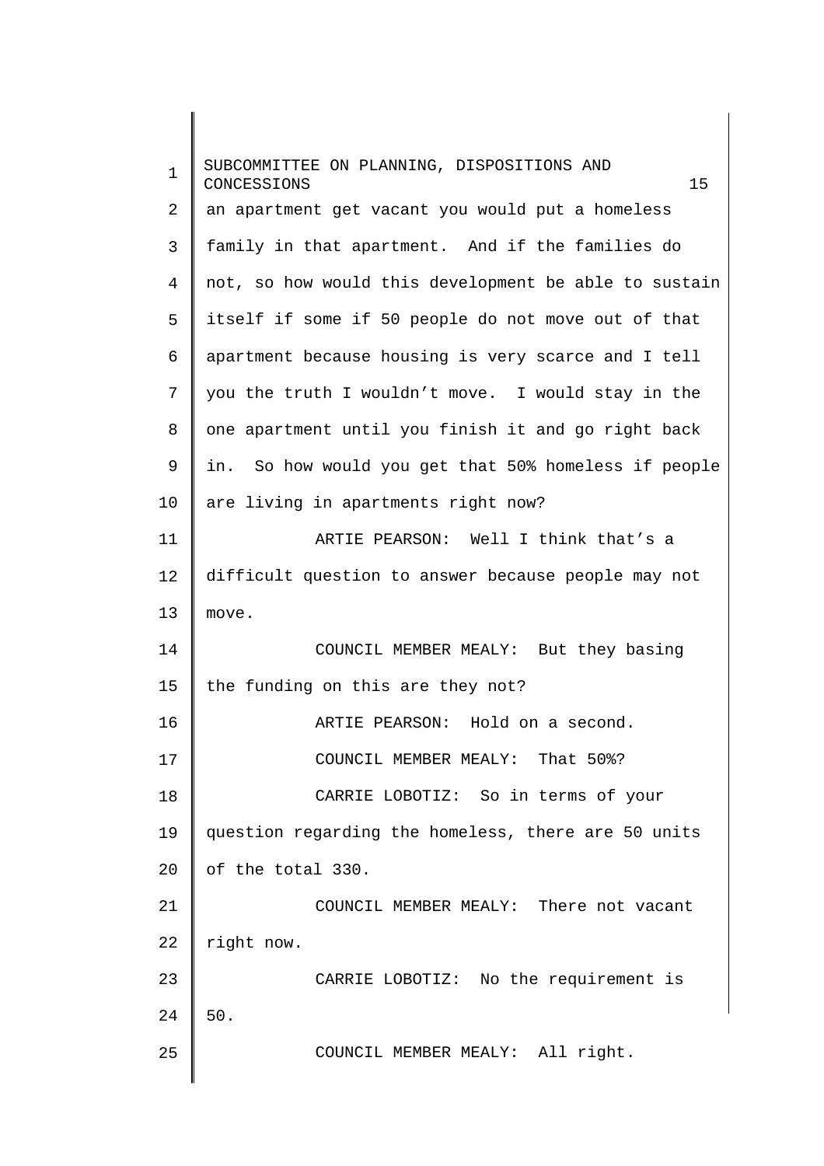| $\mathbf 1$    | SUBCOMMITTEE ON PLANNING, DISPOSITIONS AND<br>15<br>CONCESSIONS |
|----------------|-----------------------------------------------------------------|
| $\overline{a}$ | an apartment get vacant you would put a homeless                |
| 3              | family in that apartment. And if the families do                |
| 4              | not, so how would this development be able to sustain           |
| 5              | itself if some if 50 people do not move out of that             |
| 6              | apartment because housing is very scarce and I tell             |
| 7              | you the truth I wouldn't move. I would stay in the              |
| 8              | one apartment until you finish it and go right back             |
| 9              | in. So how would you get that 50% homeless if people            |
| 10             | are living in apartments right now?                             |
| 11             | ARTIE PEARSON: Well I think that's a                            |
| 12             | difficult question to answer because people may not             |
| 13             | move.                                                           |
| 14             | COUNCIL MEMBER MEALY: But they basing                           |
| 15             | the funding on this are they not?                               |
| 16             | ARTIE PEARSON: Hold on a second.                                |
| 17             | COUNCIL MEMBER MEALY: That 50%?                                 |
| 18             | CARRIE LOBOTIZ: So in terms of your                             |
| 19             | question regarding the homeless, there are 50 units             |
| 20             | of the total 330.                                               |
| 21             | COUNCIL MEMBER MEALY: There not vacant                          |
| 22             | right now.                                                      |
| 23             | CARRIE LOBOTIZ: No the requirement is                           |
| 24             | $50.$                                                           |
| 25             | COUNCIL MEMBER MEALY: All right.                                |
|                |                                                                 |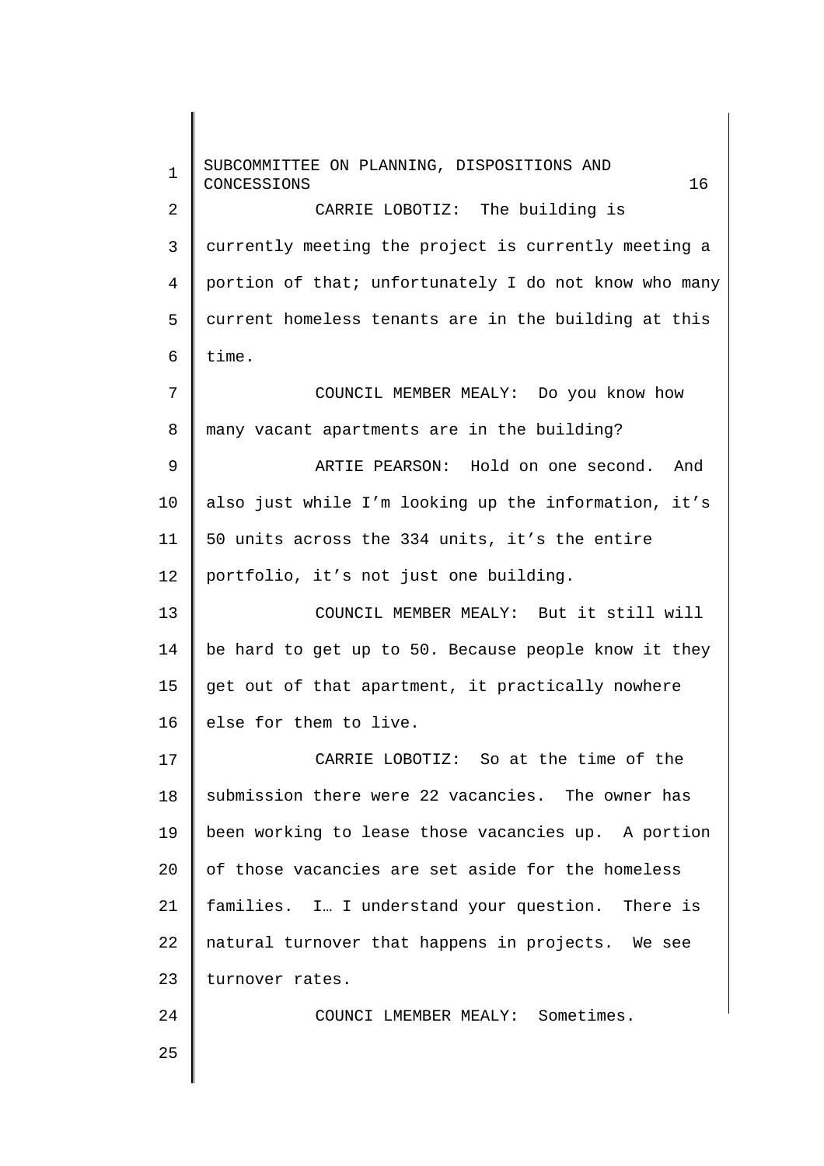1 2 3 4 5 6 7 8 9 10 11 12 13 14 15 16 17 18 19 20 21 22 23 24 25 SUBCOMMITTEE ON PLANNING, DISPOSITIONS AND CONCESSIONS 16 CARRIE LOBOTIZ: The building is currently meeting the project is currently meeting a portion of that; unfortunately I do not know who many current homeless tenants are in the building at this time. COUNCIL MEMBER MEALY: Do you know how many vacant apartments are in the building? ARTIE PEARSON: Hold on one second. And also just while I'm looking up the information, it's 50 units across the 334 units, it's the entire portfolio, it's not just one building. COUNCIL MEMBER MEALY: But it still will be hard to get up to 50. Because people know it they get out of that apartment, it practically nowhere else for them to live. CARRIE LOBOTIZ: So at the time of the submission there were 22 vacancies. The owner has been working to lease those vacancies up. A portion of those vacancies are set aside for the homeless families. I… I understand your question. There is natural turnover that happens in projects. We see turnover rates. COUNCI LMEMBER MEALY: Sometimes.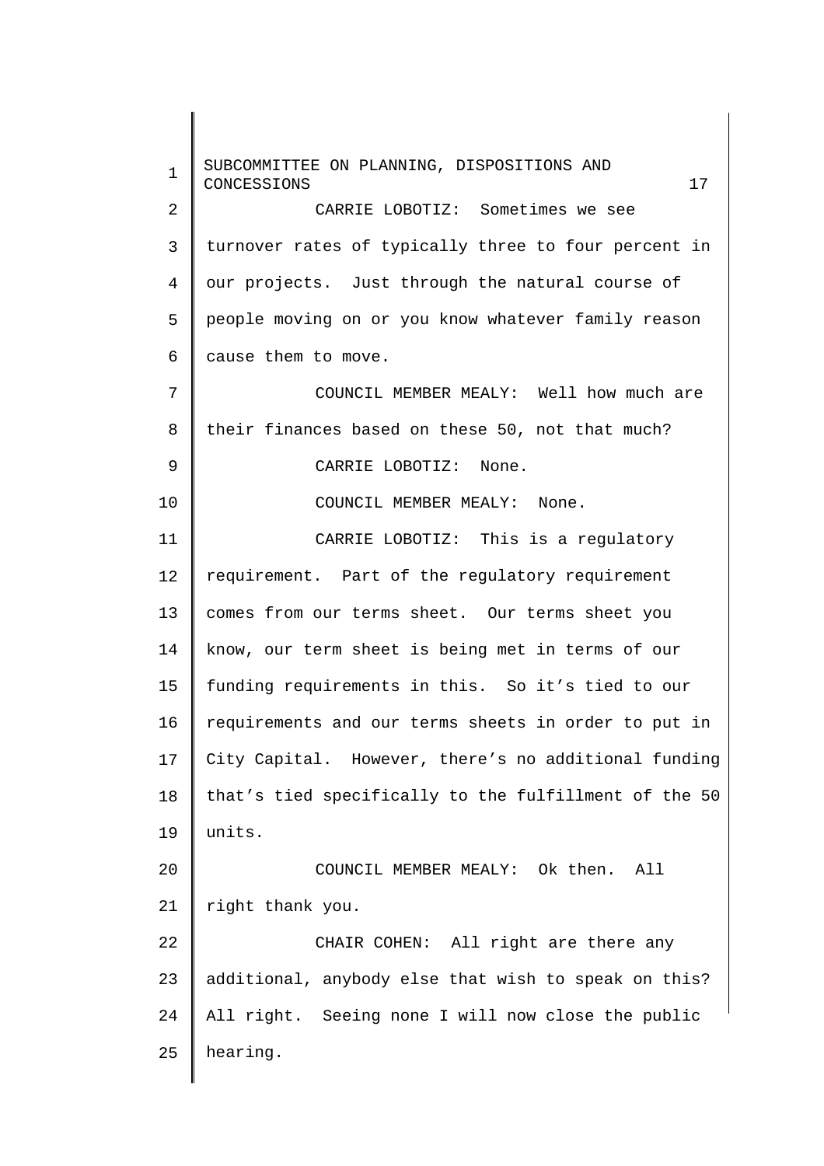1 2 3 4 5 6 7 8 9 10 11 12 13 14 15 16 17 18 19 20 21 22 23 24 25 SUBCOMMITTEE ON PLANNING, DISPOSITIONS AND CONCESSIONS 17 CARRIE LOBOTIZ: Sometimes we see turnover rates of typically three to four percent in our projects. Just through the natural course of people moving on or you know whatever family reason cause them to move. COUNCIL MEMBER MEALY: Well how much are their finances based on these 50, not that much? CARRIE LOBOTIZ: None. COUNCIL MEMBER MEALY: None. CARRIE LOBOTIZ: This is a regulatory requirement. Part of the regulatory requirement comes from our terms sheet. Our terms sheet you know, our term sheet is being met in terms of our funding requirements in this. So it's tied to our requirements and our terms sheets in order to put in City Capital. However, there's no additional funding that's tied specifically to the fulfillment of the 50 units. COUNCIL MEMBER MEALY: Ok then. All right thank you. CHAIR COHEN: All right are there any additional, anybody else that wish to speak on this? All right. Seeing none I will now close the public hearing.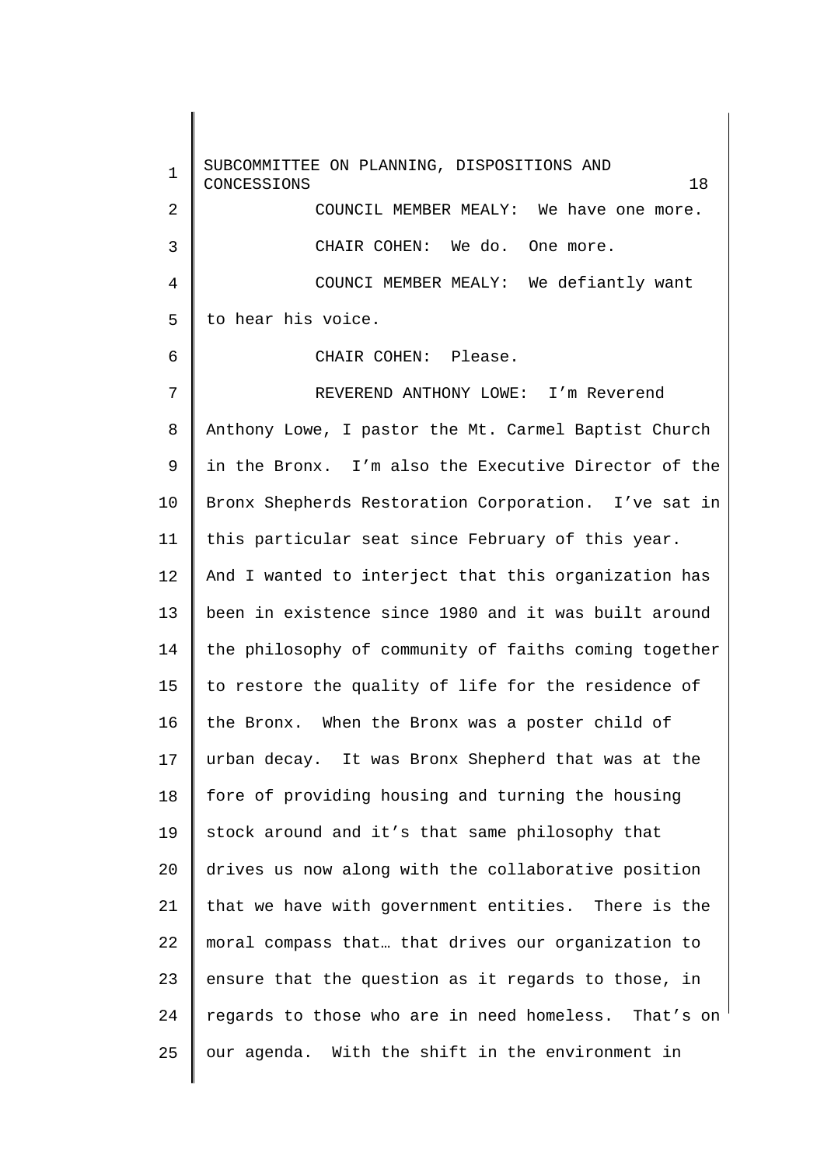1  $\overline{a}$ 3 4 5 6 7 8 9 10 11 12 13 14 15 16 17 18 19 20 21 22 23 24 25 SUBCOMMITTEE ON PLANNING, DISPOSITIONS AND CONCESSIONS 18 COUNCIL MEMBER MEALY: We have one more. CHAIR COHEN: We do. One more. COUNCI MEMBER MEALY: We defiantly want to hear his voice. CHAIR COHEN: Please. REVEREND ANTHONY LOWE: I'm Reverend Anthony Lowe, I pastor the Mt. Carmel Baptist Church in the Bronx. I'm also the Executive Director of the Bronx Shepherds Restoration Corporation. I've sat in this particular seat since February of this year. And I wanted to interject that this organization has been in existence since 1980 and it was built around the philosophy of community of faiths coming together to restore the quality of life for the residence of the Bronx. When the Bronx was a poster child of urban decay. It was Bronx Shepherd that was at the fore of providing housing and turning the housing stock around and it's that same philosophy that drives us now along with the collaborative position that we have with government entities. There is the moral compass that… that drives our organization to ensure that the question as it regards to those, in regards to those who are in need homeless. That's on our agenda. With the shift in the environment in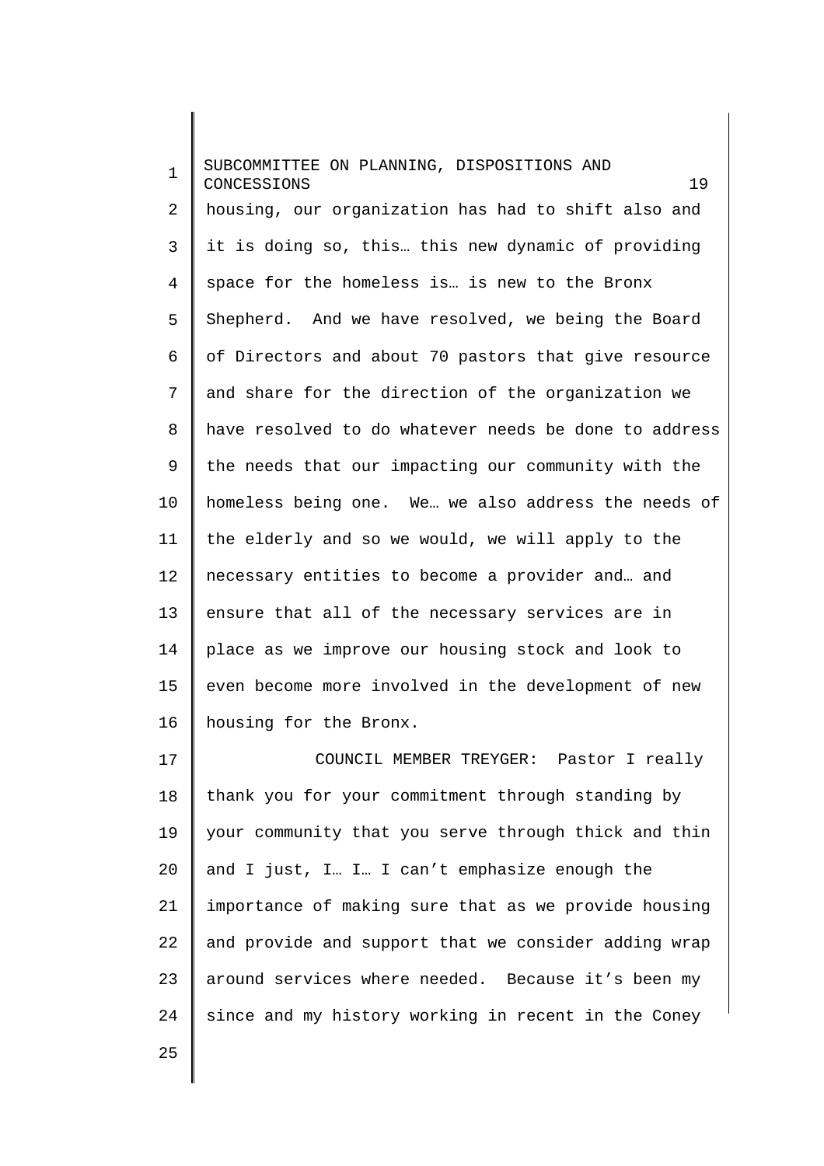1 2 3 4 5 6 7 8 9 10 11 12 13 14 15 16 17 SUBCOMMITTEE ON PLANNING, DISPOSITIONS AND CONCESSIONS 19 housing, our organization has had to shift also and it is doing so, this… this new dynamic of providing space for the homeless is… is new to the Bronx Shepherd. And we have resolved, we being the Board of Directors and about 70 pastors that give resource and share for the direction of the organization we have resolved to do whatever needs be done to address the needs that our impacting our community with the homeless being one. We… we also address the needs of the elderly and so we would, we will apply to the necessary entities to become a provider and… and ensure that all of the necessary services are in place as we improve our housing stock and look to even become more involved in the development of new housing for the Bronx. COUNCIL MEMBER TREYGER: Pastor I really

18 19 20 21 22 23 24 thank you for your commitment through standing by your community that you serve through thick and thin and I just, I… I… I can't emphasize enough the importance of making sure that as we provide housing and provide and support that we consider adding wrap around services where needed. Because it's been my since and my history working in recent in the Coney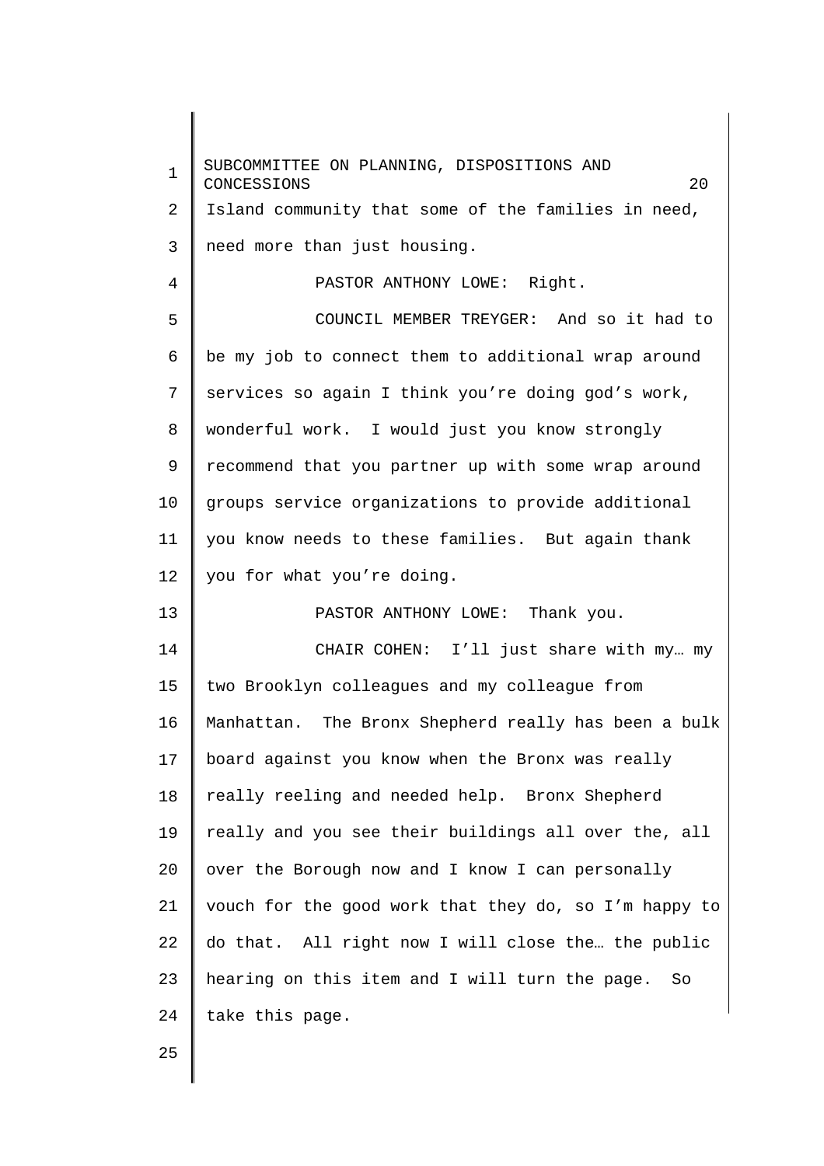1 2 3 4 5 6 7 8 9 10 11 12 13 14 15 16 17 18 19 20 21 22 23 24 SUBCOMMITTEE ON PLANNING, DISPOSITIONS AND CONCESSIONS 20 Island community that some of the families in need, need more than just housing. PASTOR ANTHONY LOWE: Right. COUNCIL MEMBER TREYGER: And so it had to be my job to connect them to additional wrap around services so again I think you're doing god's work, wonderful work. I would just you know strongly recommend that you partner up with some wrap around groups service organizations to provide additional you know needs to these families. But again thank you for what you're doing. PASTOR ANTHONY LOWE: Thank you. CHAIR COHEN: I'll just share with my… my two Brooklyn colleagues and my colleague from Manhattan. The Bronx Shepherd really has been a bulk board against you know when the Bronx was really really reeling and needed help. Bronx Shepherd really and you see their buildings all over the, all over the Borough now and I know I can personally vouch for the good work that they do, so I'm happy to do that. All right now I will close the… the public hearing on this item and I will turn the page. So take this page.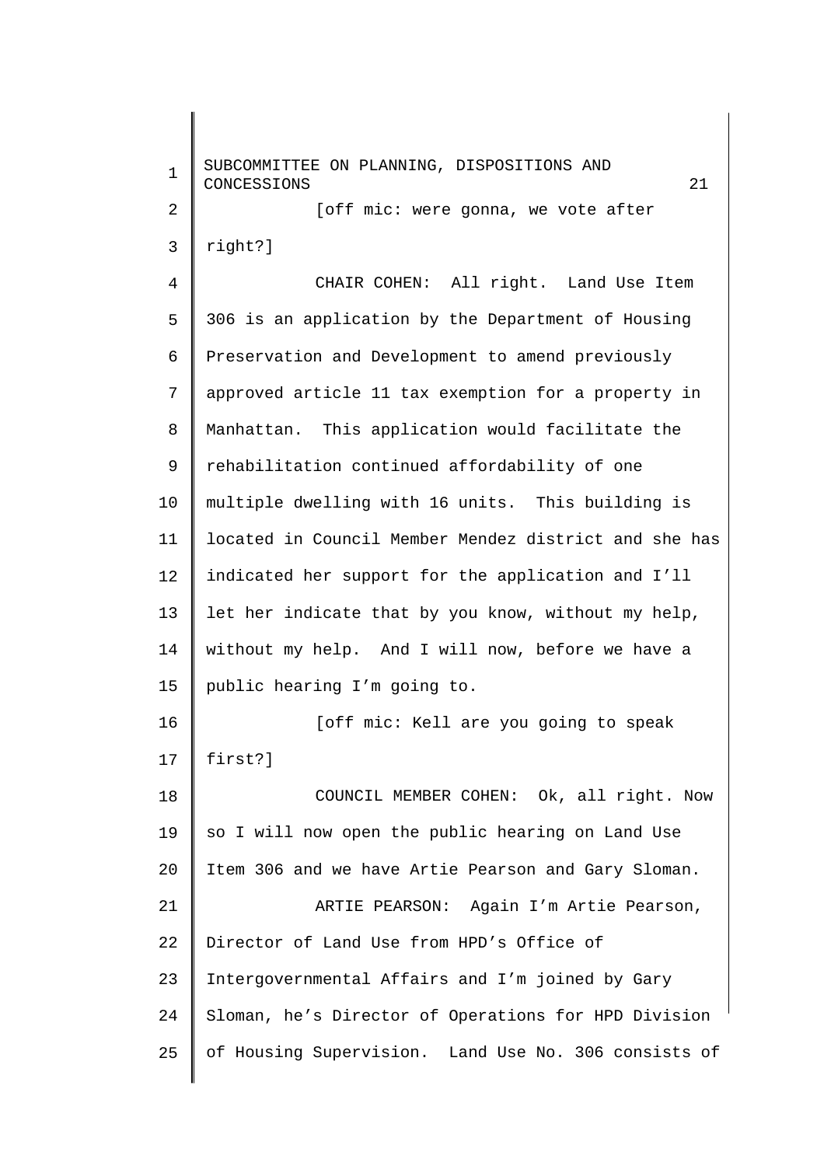1 2 3 4 5 6 7 8 9 10 11 12 13 14 15 16 17 18 19 20 21 22 23 24 25 SUBCOMMITTEE ON PLANNING, DISPOSITIONS AND CONCESSIONS 21 [off mic: were gonna, we vote after right?] CHAIR COHEN: All right. Land Use Item 306 is an application by the Department of Housing Preservation and Development to amend previously approved article 11 tax exemption for a property in Manhattan. This application would facilitate the rehabilitation continued affordability of one multiple dwelling with 16 units. This building is located in Council Member Mendez district and she has indicated her support for the application and I'll let her indicate that by you know, without my help, without my help. And I will now, before we have a public hearing I'm going to. [off mic: Kell are you going to speak first?] COUNCIL MEMBER COHEN: Ok, all right. Now so I will now open the public hearing on Land Use Item 306 and we have Artie Pearson and Gary Sloman. ARTIE PEARSON: Again I'm Artie Pearson, Director of Land Use from HPD's Office of Intergovernmental Affairs and I'm joined by Gary Sloman, he's Director of Operations for HPD Division of Housing Supervision. Land Use No. 306 consists of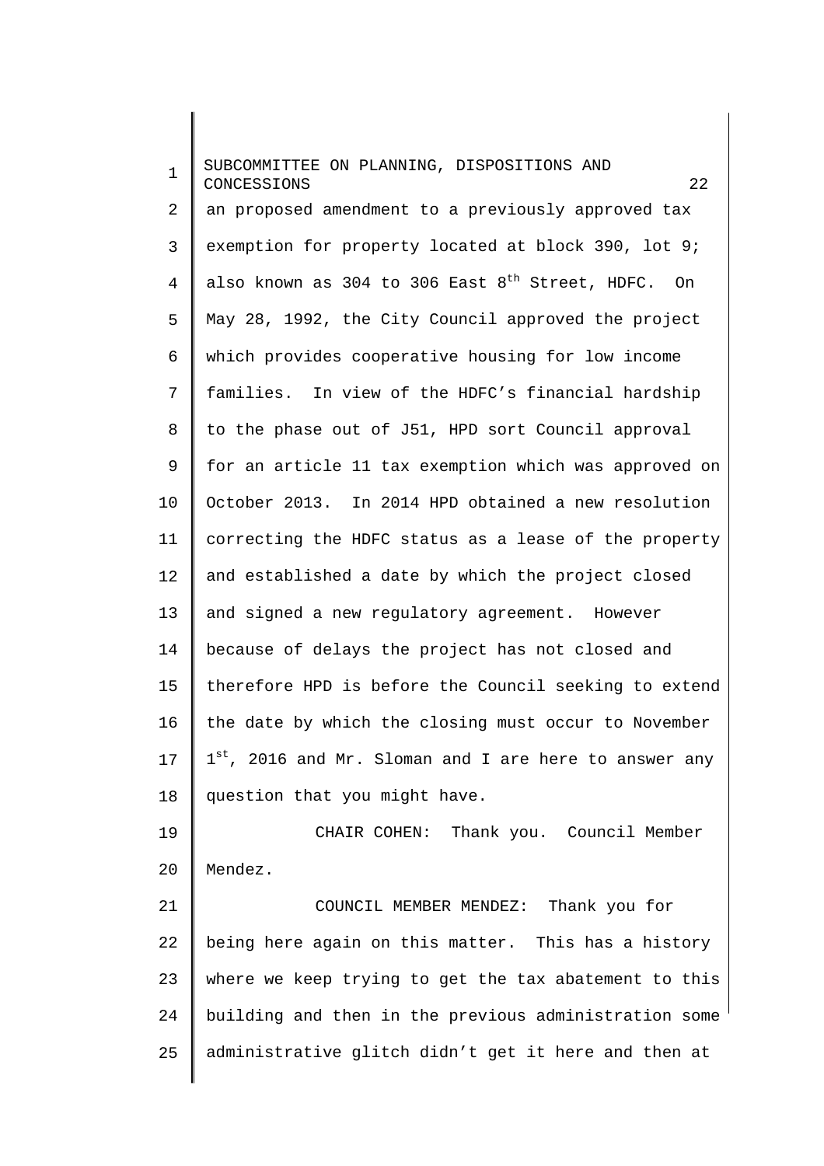1 2 3 4 5 6 7 8 9 10 11 12 13 14 15 16 17 18 19 SUBCOMMITTEE ON PLANNING, DISPOSITIONS AND CONCESSIONS 22 an proposed amendment to a previously approved tax exemption for property located at block 390, lot 9; also known as 304 to 306 East  $8<sup>th</sup>$  Street, HDFC. On May 28, 1992, the City Council approved the project which provides cooperative housing for low income families. In view of the HDFC's financial hardship to the phase out of J51, HPD sort Council approval for an article 11 tax exemption which was approved on October 2013. In 2014 HPD obtained a new resolution correcting the HDFC status as a lease of the property and established a date by which the project closed and signed a new regulatory agreement. However because of delays the project has not closed and therefore HPD is before the Council seeking to extend the date by which the closing must occur to November 1st, 2016 and Mr. Sloman and I are here to answer any question that you might have. CHAIR COHEN: Thank you. Council Member

20 Mendez.

21 22 23 24 25 COUNCIL MEMBER MENDEZ: Thank you for being here again on this matter. This has a history where we keep trying to get the tax abatement to this building and then in the previous administration some administrative glitch didn't get it here and then at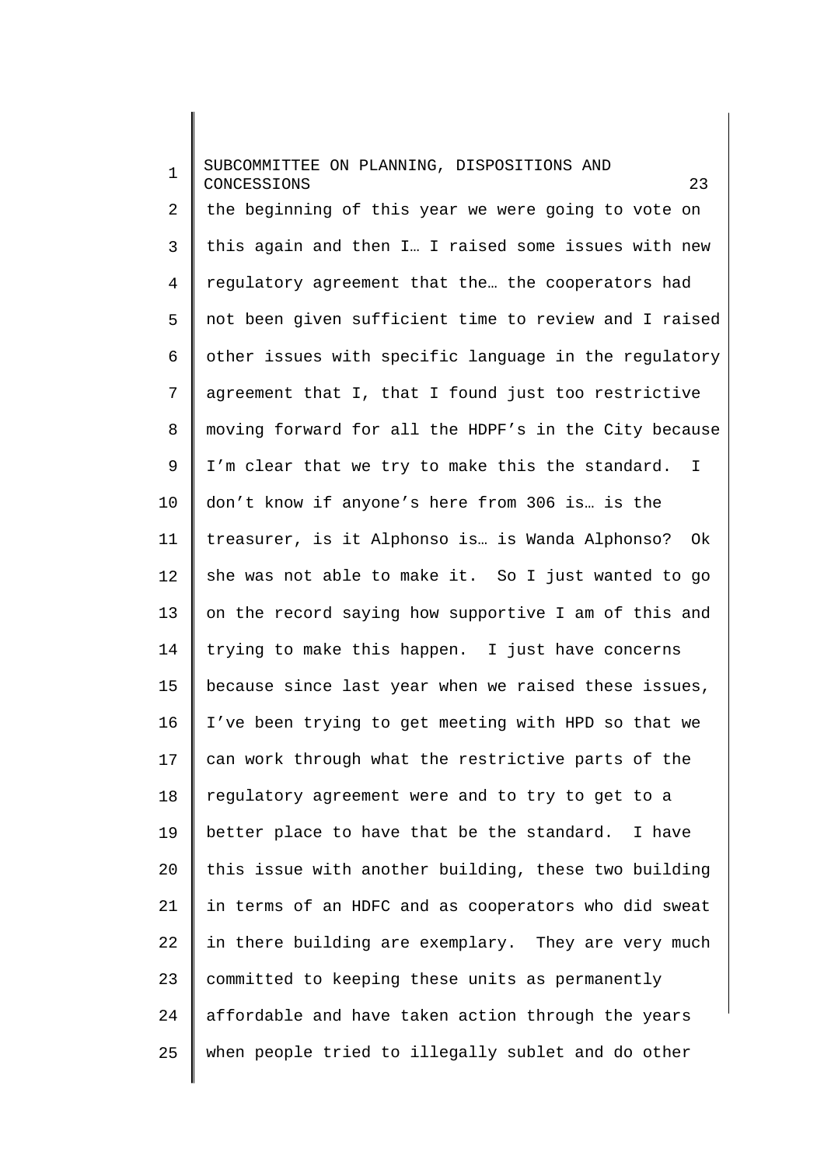1  $\overline{a}$ 3 4 5 6 7 8 9 10 11 12 13 14 15 16 17 18 19 20 21 22 23 24 25 SUBCOMMITTEE ON PLANNING, DISPOSITIONS AND CONCESSIONS 23 the beginning of this year we were going to vote on this again and then I… I raised some issues with new regulatory agreement that the… the cooperators had not been given sufficient time to review and I raised other issues with specific language in the regulatory agreement that I, that I found just too restrictive moving forward for all the HDPF's in the City because I'm clear that we try to make this the standard. I don't know if anyone's here from 306 is… is the treasurer, is it Alphonso is… is Wanda Alphonso? Ok she was not able to make it. So I just wanted to go on the record saying how supportive I am of this and trying to make this happen. I just have concerns because since last year when we raised these issues, I've been trying to get meeting with HPD so that we can work through what the restrictive parts of the regulatory agreement were and to try to get to a better place to have that be the standard. I have this issue with another building, these two building in terms of an HDFC and as cooperators who did sweat in there building are exemplary. They are very much committed to keeping these units as permanently affordable and have taken action through the years when people tried to illegally sublet and do other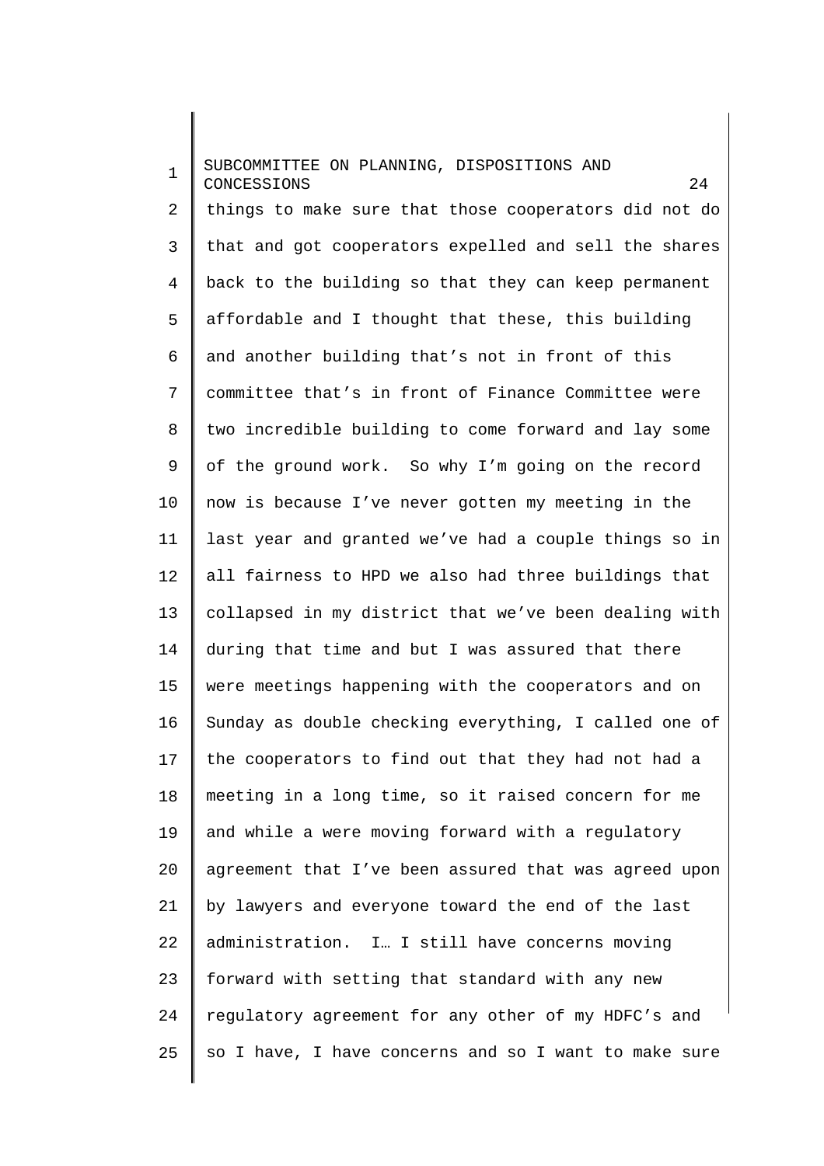1  $\mathcal{L}$ 3 4 5 6 7 8 9 10 11 12 13 14 15 16 17 18 19 20 21 22 23 24 25 SUBCOMMITTEE ON PLANNING, DISPOSITIONS AND CONCESSIONS 24 things to make sure that those cooperators did not do that and got cooperators expelled and sell the shares back to the building so that they can keep permanent affordable and I thought that these, this building and another building that's not in front of this committee that's in front of Finance Committee were two incredible building to come forward and lay some of the ground work. So why I'm going on the record now is because I've never gotten my meeting in the last year and granted we've had a couple things so in all fairness to HPD we also had three buildings that collapsed in my district that we've been dealing with during that time and but I was assured that there were meetings happening with the cooperators and on Sunday as double checking everything, I called one of the cooperators to find out that they had not had a meeting in a long time, so it raised concern for me and while a were moving forward with a regulatory agreement that I've been assured that was agreed upon by lawyers and everyone toward the end of the last administration. I… I still have concerns moving forward with setting that standard with any new regulatory agreement for any other of my HDFC's and so I have, I have concerns and so I want to make sure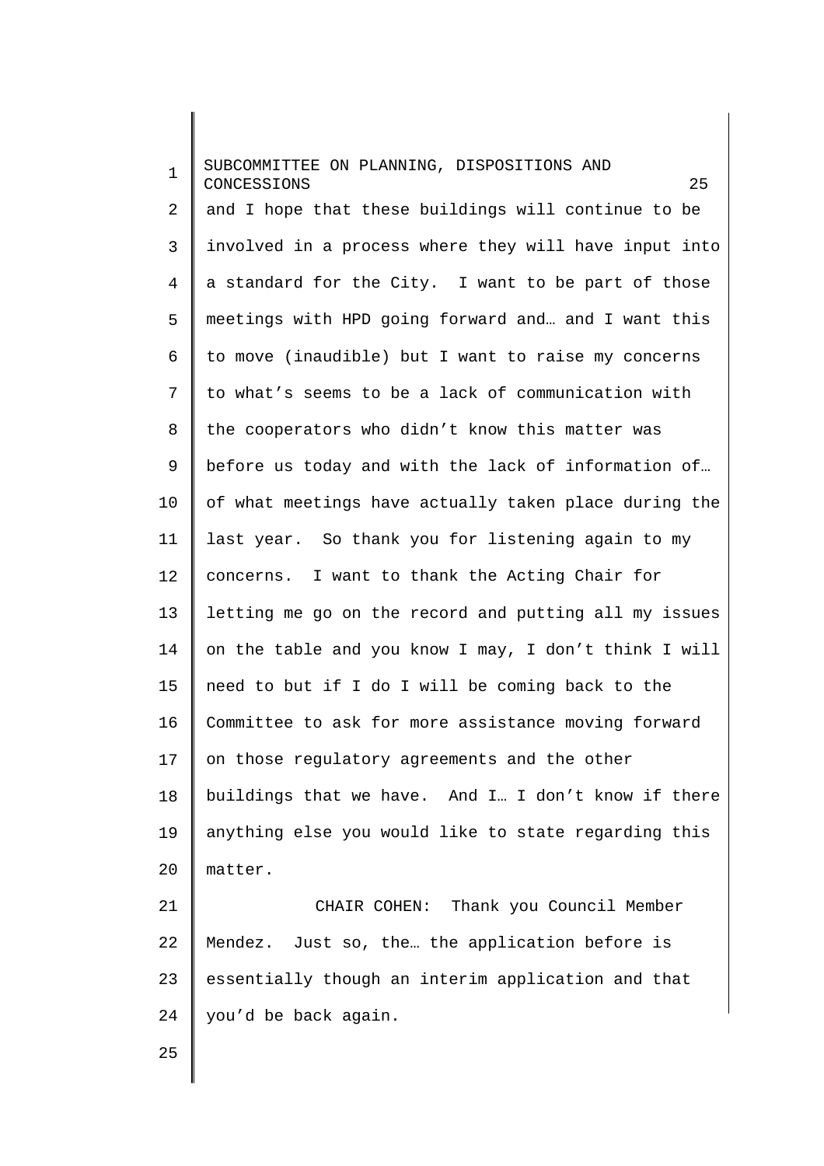1 2 3 4 5 6 7 8 9 10 11 12 13 14 15 16 17 18 19 20 21 22 23 SUBCOMMITTEE ON PLANNING, DISPOSITIONS AND CONCESSIONS 25 and I hope that these buildings will continue to be involved in a process where they will have input into a standard for the City. I want to be part of those meetings with HPD going forward and… and I want this to move (inaudible) but I want to raise my concerns to what's seems to be a lack of communication with the cooperators who didn't know this matter was before us today and with the lack of information of… of what meetings have actually taken place during the last year. So thank you for listening again to my concerns. I want to thank the Acting Chair for letting me go on the record and putting all my issues on the table and you know I may, I don't think I will need to but if I do I will be coming back to the Committee to ask for more assistance moving forward on those regulatory agreements and the other buildings that we have. And I… I don't know if there anything else you would like to state regarding this matter. CHAIR COHEN: Thank you Council Member Mendez. Just so, the… the application before is essentially though an interim application and that

25

24

you'd be back again.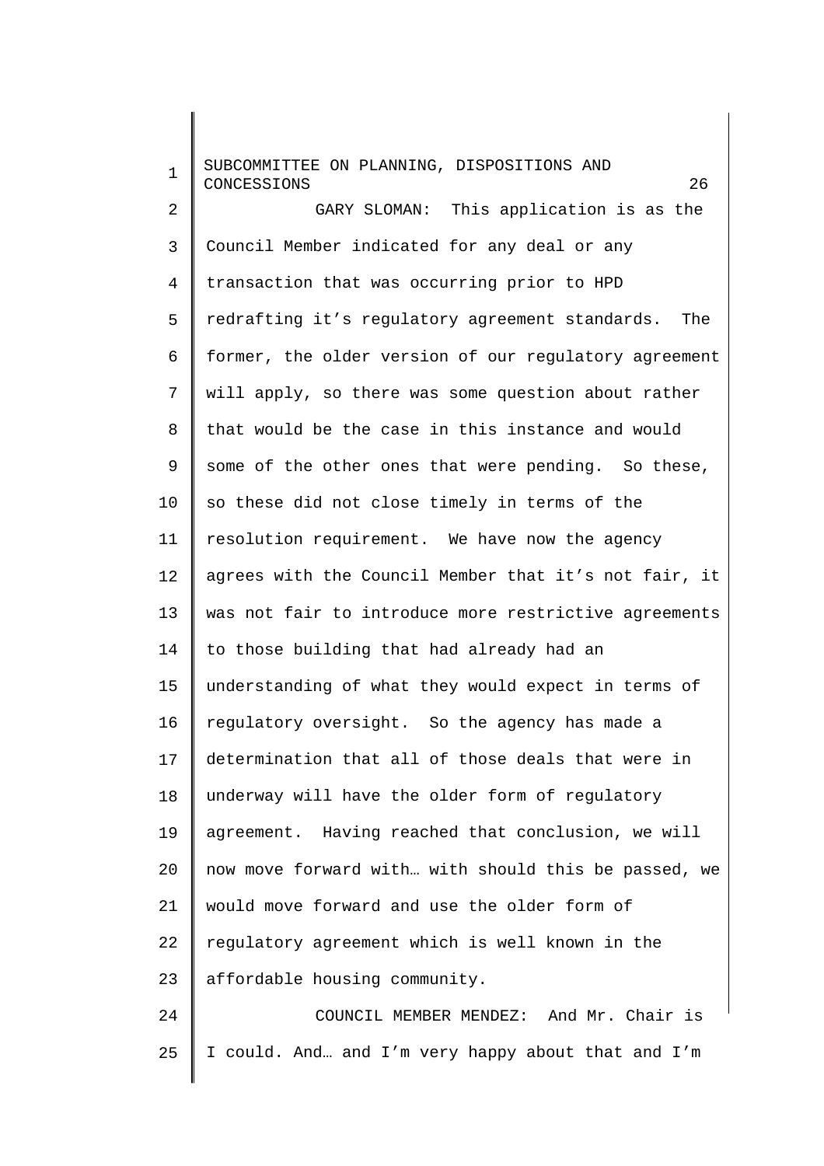| $\mathbf 1$    | SUBCOMMITTEE ON PLANNING, DISPOSITIONS AND<br>CONCESSIONS<br>26 |
|----------------|-----------------------------------------------------------------|
| 2              | GARY SLOMAN: This application is as the                         |
| 3              | Council Member indicated for any deal or any                    |
| $\overline{4}$ | transaction that was occurring prior to HPD                     |
| 5              | redrafting it's regulatory agreement standards. The             |
| 6              | former, the older version of our regulatory agreement           |
| 7              | will apply, so there was some question about rather             |
| 8              | that would be the case in this instance and would               |
| 9              | some of the other ones that were pending. So these,             |
| 10             | so these did not close timely in terms of the                   |
| 11             | resolution requirement. We have now the agency                  |
| 12             | agrees with the Council Member that it's not fair, it           |
| 13             | was not fair to introduce more restrictive agreements           |
| 14             | to those building that had already had an                       |
| 15             | understanding of what they would expect in terms of             |
| 16             | regulatory oversight. So the agency has made a                  |
| 17             | determination that all of those deals that were in              |
| 18             | underway will have the older form of regulatory                 |
| 19             | agreement. Having reached that conclusion, we will              |
| 20             | now move forward with with should this be passed, we            |
| 21             | would move forward and use the older form of                    |
| 22             | regulatory agreement which is well known in the                 |
| 23             | affordable housing community.                                   |
| 24             | COUNCIL MEMBER MENDEZ: And Mr. Chair is                         |
| 25             | I could. And and I'm very happy about that and I'm              |
|                |                                                                 |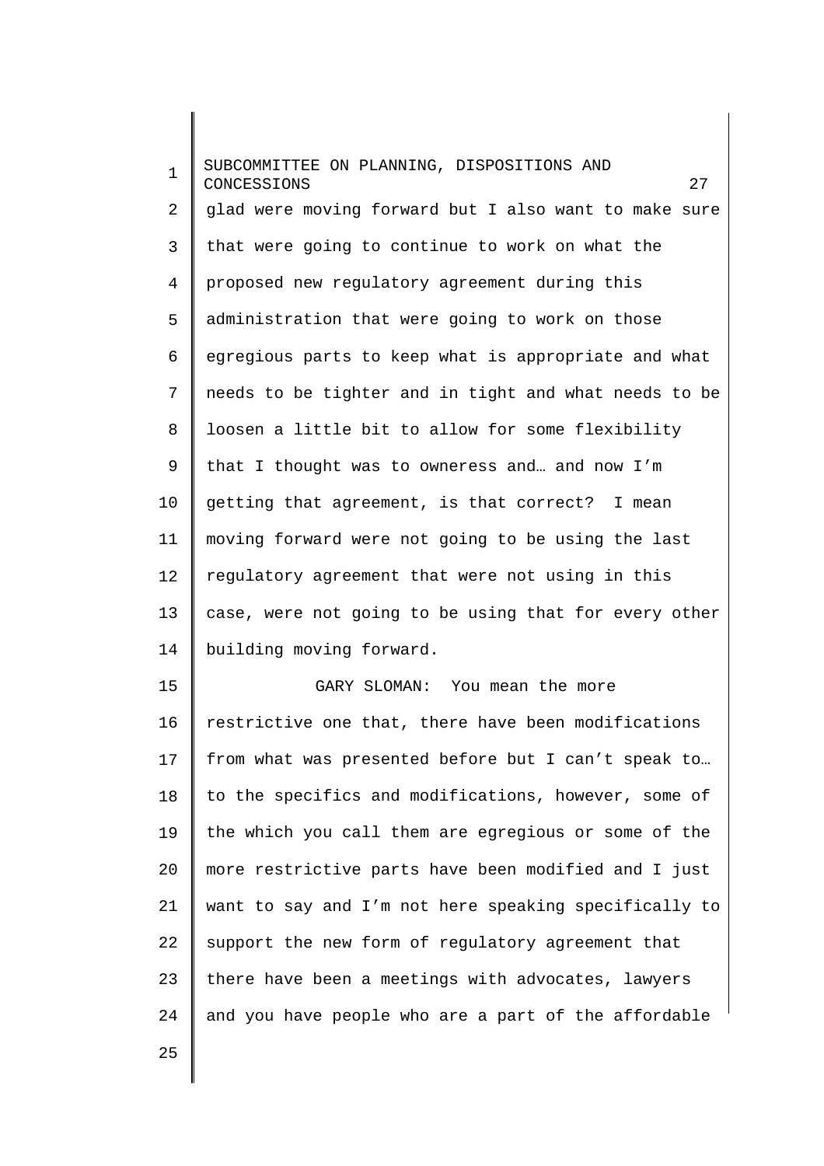1 2 3 4 5 6 7 8 9 10 11 12 13 14 15 16 17 18 19 20 21 22 23 24 SUBCOMMITTEE ON PLANNING, DISPOSITIONS AND CONCESSIONS 27 glad were moving forward but I also want to make sure that were going to continue to work on what the proposed new regulatory agreement during this administration that were going to work on those egregious parts to keep what is appropriate and what needs to be tighter and in tight and what needs to be loosen a little bit to allow for some flexibility that I thought was to owneress and… and now I'm getting that agreement, is that correct? I mean moving forward were not going to be using the last regulatory agreement that were not using in this case, were not going to be using that for every other building moving forward. GARY SLOMAN: You mean the more restrictive one that, there have been modifications from what was presented before but I can't speak to… to the specifics and modifications, however, some of the which you call them are egregious or some of the more restrictive parts have been modified and I just want to say and I'm not here speaking specifically to support the new form of regulatory agreement that there have been a meetings with advocates, lawyers and you have people who are a part of the affordable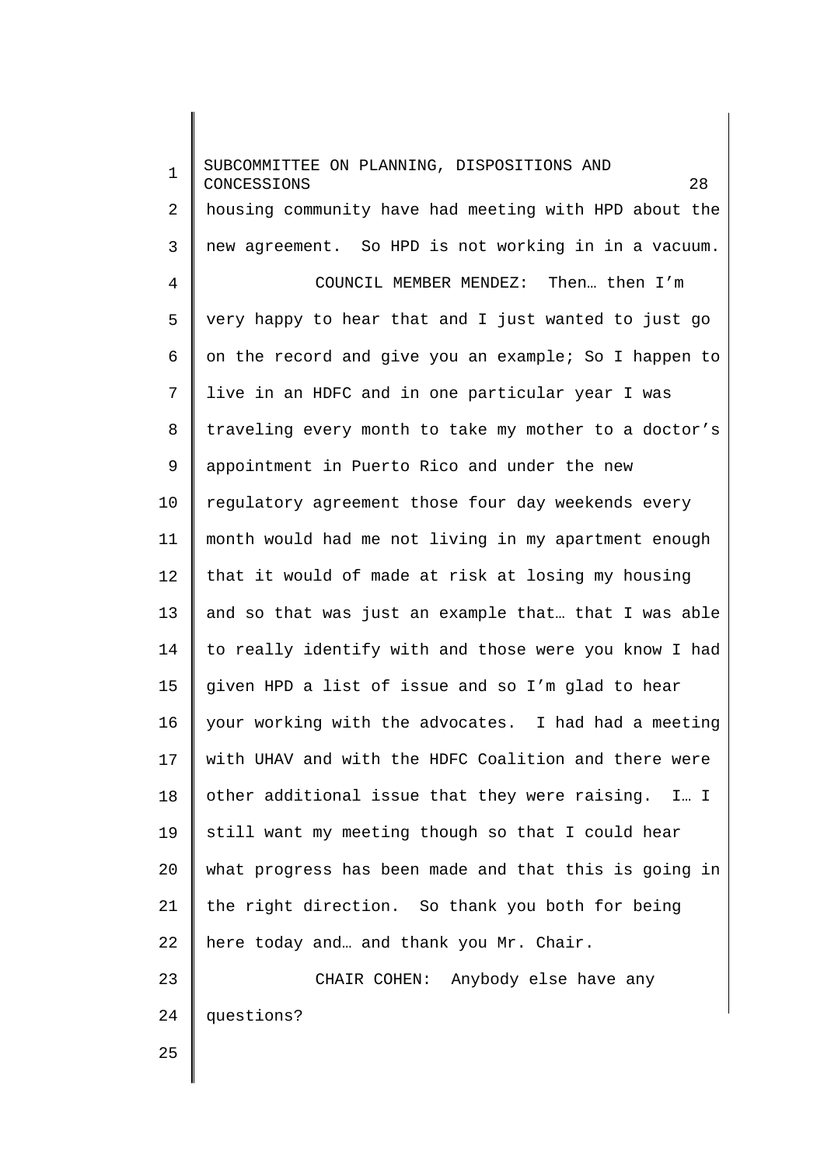1 2 3 4 5 6 7 8 9 10 11 12 13 14 15 16 17 18 19 20 21 22 23 24 SUBCOMMITTEE ON PLANNING, DISPOSITIONS AND CONCESSIONS 28 housing community have had meeting with HPD about the new agreement. So HPD is not working in in a vacuum. COUNCIL MEMBER MENDEZ: Then… then I'm very happy to hear that and I just wanted to just go on the record and give you an example; So I happen to live in an HDFC and in one particular year I was traveling every month to take my mother to a doctor's appointment in Puerto Rico and under the new regulatory agreement those four day weekends every month would had me not living in my apartment enough that it would of made at risk at losing my housing and so that was just an example that… that I was able to really identify with and those were you know I had given HPD a list of issue and so I'm glad to hear your working with the advocates. I had had a meeting with UHAV and with the HDFC Coalition and there were other additional issue that they were raising. I… I still want my meeting though so that I could hear what progress has been made and that this is going in the right direction. So thank you both for being here today and… and thank you Mr. Chair. CHAIR COHEN: Anybody else have any questions?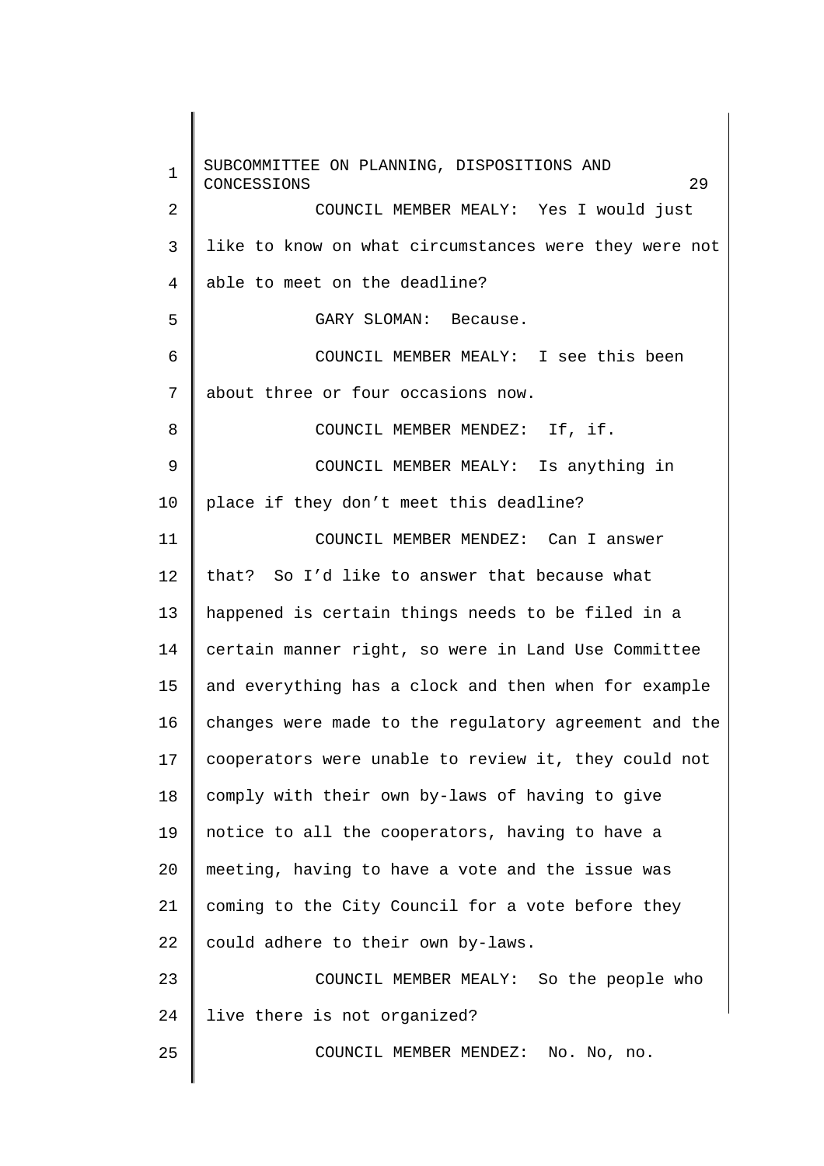1 2 3 4 5 6 7 8 9 10 11 12 13 14 15 16 17 18 19 20 21 22 23 24 25 SUBCOMMITTEE ON PLANNING, DISPOSITIONS AND CONCESSIONS 29 COUNCIL MEMBER MEALY: Yes I would just like to know on what circumstances were they were not able to meet on the deadline? GARY SLOMAN: Because. COUNCIL MEMBER MEALY: I see this been about three or four occasions now. COUNCIL MEMBER MENDEZ: If, if. COUNCIL MEMBER MEALY: Is anything in place if they don't meet this deadline? COUNCIL MEMBER MENDEZ: Can I answer that? So I'd like to answer that because what happened is certain things needs to be filed in a certain manner right, so were in Land Use Committee and everything has a clock and then when for example changes were made to the regulatory agreement and the cooperators were unable to review it, they could not comply with their own by-laws of having to give notice to all the cooperators, having to have a meeting, having to have a vote and the issue was coming to the City Council for a vote before they could adhere to their own by-laws. COUNCIL MEMBER MEALY: So the people who live there is not organized? COUNCIL MEMBER MENDEZ: No. No, no.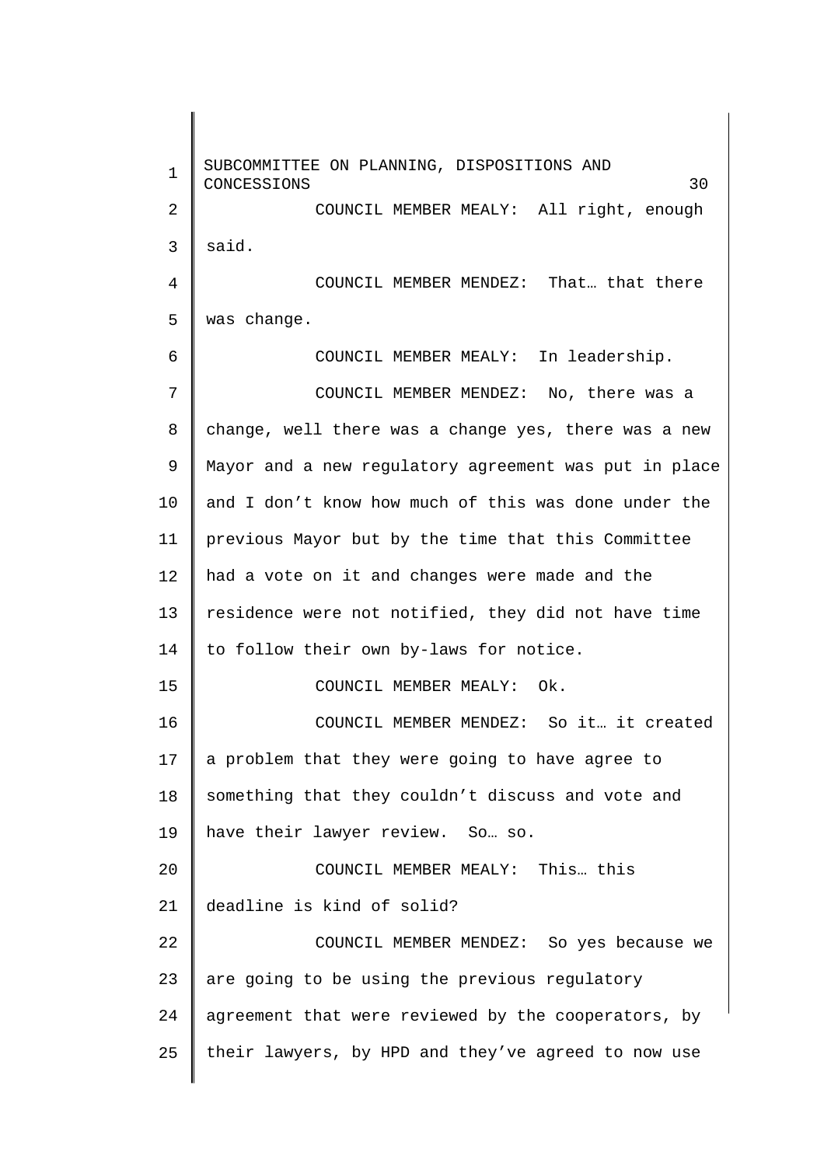1 2 3 4 5 6 7 8 9 10 11 12 13 14 15 16 17 18 19 20 21 22 23 24 25 SUBCOMMITTEE ON PLANNING, DISPOSITIONS AND CONCESSIONS 30 COUNCIL MEMBER MEALY: All right, enough said. COUNCIL MEMBER MENDEZ: That… that there was change. COUNCIL MEMBER MEALY: In leadership. COUNCIL MEMBER MENDEZ: No, there was a change, well there was a change yes, there was a new Mayor and a new regulatory agreement was put in place and I don't know how much of this was done under the previous Mayor but by the time that this Committee had a vote on it and changes were made and the residence were not notified, they did not have time to follow their own by-laws for notice. COUNCIL MEMBER MEALY: Ok. COUNCIL MEMBER MENDEZ: So it… it created a problem that they were going to have agree to something that they couldn't discuss and vote and have their lawyer review. So… so. COUNCIL MEMBER MEALY: This… this deadline is kind of solid? COUNCIL MEMBER MENDEZ: So yes because we are going to be using the previous regulatory agreement that were reviewed by the cooperators, by their lawyers, by HPD and they've agreed to now use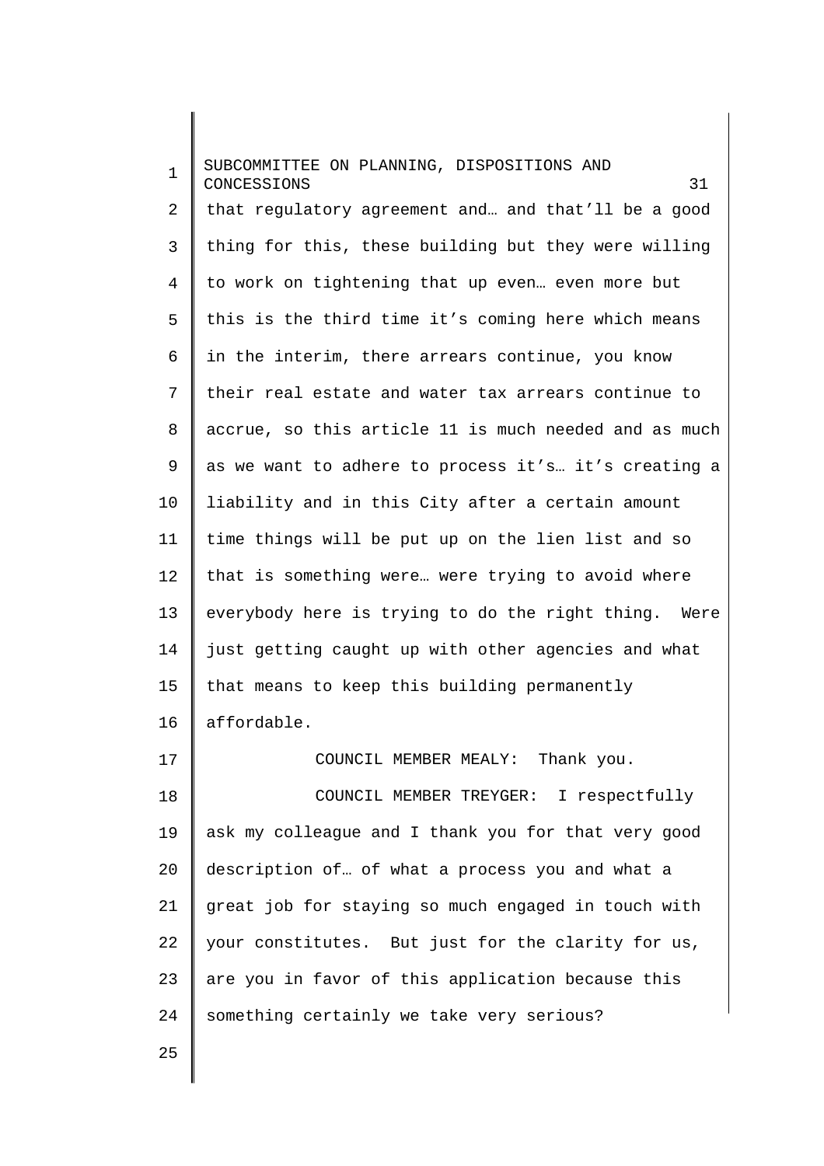1 2 3 4 5 6 7 8 9 10 11 12 13 14 15 16 17 18 19 20 21 22 23 24 25 SUBCOMMITTEE ON PLANNING, DISPOSITIONS AND CONCESSIONS 31 that regulatory agreement and… and that'll be a good thing for this, these building but they were willing to work on tightening that up even… even more but this is the third time it's coming here which means in the interim, there arrears continue, you know their real estate and water tax arrears continue to accrue, so this article 11 is much needed and as much as we want to adhere to process it's… it's creating a liability and in this City after a certain amount time things will be put up on the lien list and so that is something were… were trying to avoid where everybody here is trying to do the right thing. Were just getting caught up with other agencies and what that means to keep this building permanently affordable. COUNCIL MEMBER MEALY: Thank you. COUNCIL MEMBER TREYGER: I respectfully ask my colleague and I thank you for that very good description of… of what a process you and what a great job for staying so much engaged in touch with your constitutes. But just for the clarity for us, are you in favor of this application because this something certainly we take very serious?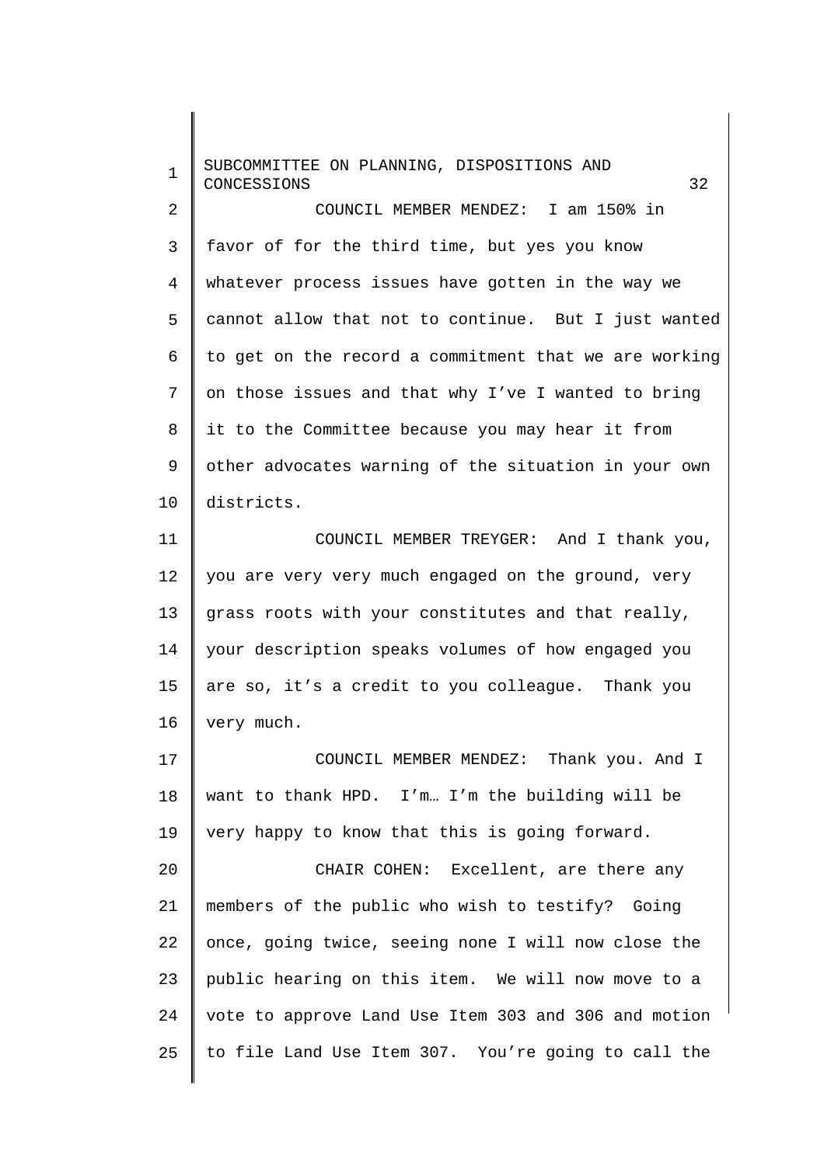1  $\overline{2}$ 3 4 5 6 7 8 9 10 11 12 13 14 15 16 17 18 19 20 21 22 23 24 25 SUBCOMMITTEE ON PLANNING, DISPOSITIONS AND CONCESSIONS 32 COUNCIL MEMBER MENDEZ: I am 150% in favor of for the third time, but yes you know whatever process issues have gotten in the way we cannot allow that not to continue. But I just wanted to get on the record a commitment that we are working on those issues and that why I've I wanted to bring it to the Committee because you may hear it from other advocates warning of the situation in your own districts. COUNCIL MEMBER TREYGER: And I thank you, you are very very much engaged on the ground, very grass roots with your constitutes and that really, your description speaks volumes of how engaged you are so, it's a credit to you colleague. Thank you very much. COUNCIL MEMBER MENDEZ: Thank you. And I want to thank HPD. I'm… I'm the building will be very happy to know that this is going forward. CHAIR COHEN: Excellent, are there any members of the public who wish to testify? Going once, going twice, seeing none I will now close the public hearing on this item. We will now move to a vote to approve Land Use Item 303 and 306 and motion to file Land Use Item 307. You're going to call the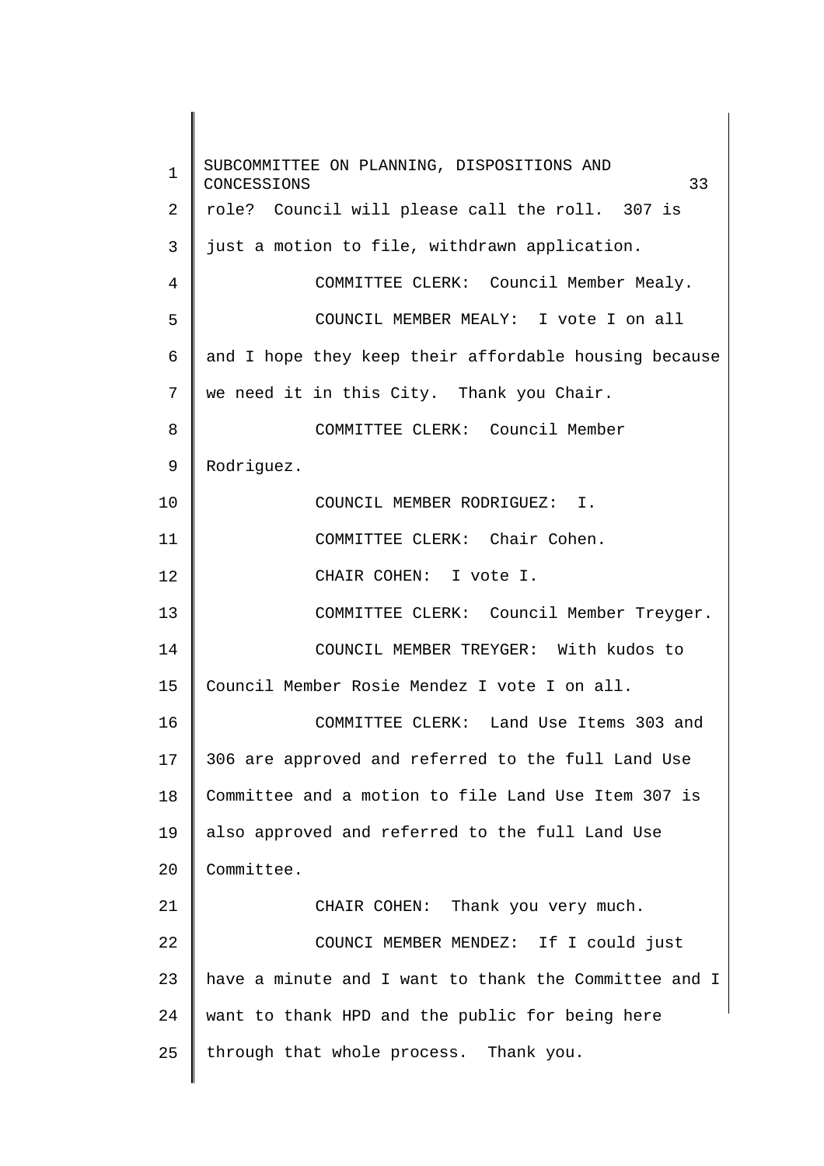1 2 3 4 5 6 7 8 9 10 11 12 13 14 15 16 17 18 19 20 21 22 23 24 25 SUBCOMMITTEE ON PLANNING, DISPOSITIONS AND CONCESSIONS 33 role? Council will please call the roll. 307 is just a motion to file, withdrawn application. COMMITTEE CLERK: Council Member Mealy. COUNCIL MEMBER MEALY: I vote I on all and I hope they keep their affordable housing because we need it in this City. Thank you Chair. COMMITTEE CLERK: Council Member Rodriguez. COUNCIL MEMBER RODRIGUEZ: I. COMMITTEE CLERK: Chair Cohen. CHAIR COHEN: I vote I. COMMITTEE CLERK: Council Member Treyger. COUNCIL MEMBER TREYGER: With kudos to Council Member Rosie Mendez I vote I on all. COMMITTEE CLERK: Land Use Items 303 and 306 are approved and referred to the full Land Use Committee and a motion to file Land Use Item 307 is also approved and referred to the full Land Use Committee. CHAIR COHEN: Thank you very much. COUNCI MEMBER MENDEZ: If I could just have a minute and I want to thank the Committee and I want to thank HPD and the public for being here through that whole process. Thank you.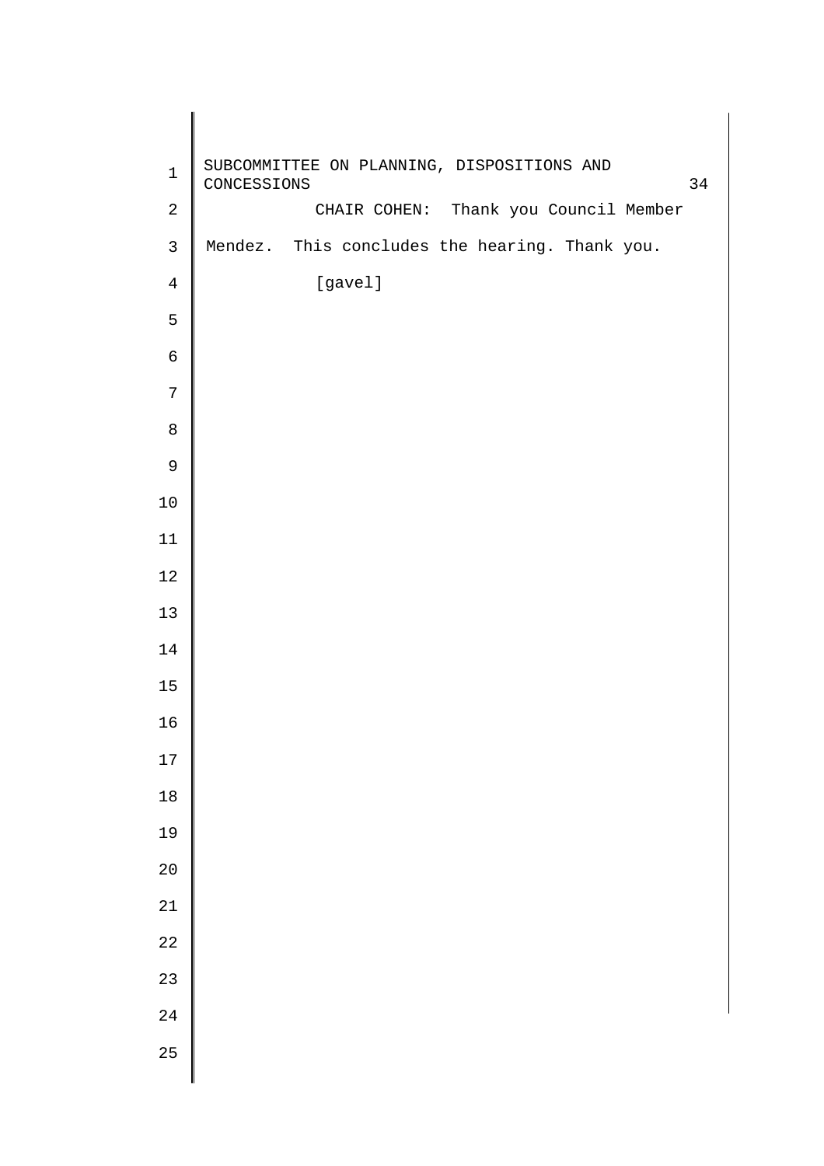| $\mathbf 1$    | SUBCOMMITTEE ON PLANNING, DISPOSITIONS AND<br>CONCESSIONS<br>34 |
|----------------|-----------------------------------------------------------------|
| $\sqrt{2}$     | CHAIR COHEN: Thank you Council Member                           |
| $\mathsf{3}$   | Mendez. This concludes the hearing. Thank you.                  |
| $\overline{4}$ | [gavel]                                                         |
| 5              |                                                                 |
| $\epsilon$     |                                                                 |
| $\sqrt{ }$     |                                                                 |
| $\,8\,$        |                                                                 |
| $\mathsf 9$    |                                                                 |
| $10$           |                                                                 |
| $11\,$         |                                                                 |
| $12\,$         |                                                                 |
| 13             |                                                                 |
| 14             |                                                                 |
| 15             |                                                                 |
| 16             |                                                                 |
| $17\,$         |                                                                 |
| $18\,$         |                                                                 |
| 19             |                                                                 |
| 20             |                                                                 |
| 21             |                                                                 |
| 22             |                                                                 |
| 23             |                                                                 |
| 24             |                                                                 |
| 25             |                                                                 |
|                |                                                                 |